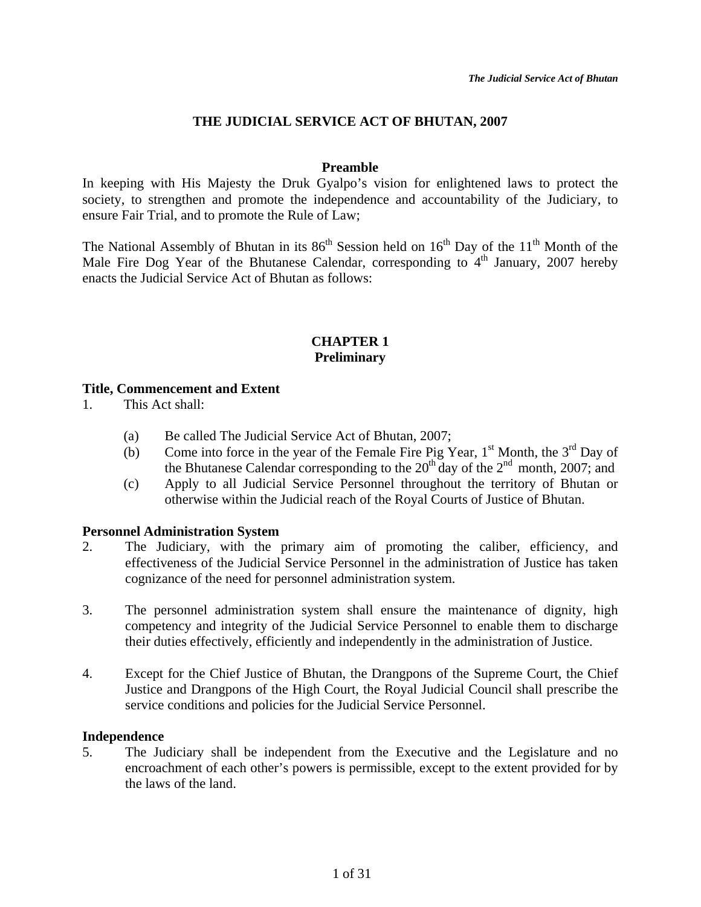# **THE JUDICIAL SERVICE ACT OF BHUTAN, 2007**

## **Preamble**

In keeping with His Majesty the Druk Gyalpo's vision for enlightened laws to protect the society, to strengthen and promote the independence and accountability of the Judiciary, to ensure Fair Trial, and to promote the Rule of Law;

The National Assembly of Bhutan in its  $86<sup>th</sup>$  Session held on  $16<sup>th</sup>$  Day of the  $11<sup>th</sup>$  Month of the Male Fire Dog Year of the Bhutanese Calendar, corresponding to  $4<sup>th</sup>$  January, 2007 hereby enacts the Judicial Service Act of Bhutan as follows:

## **CHAPTER 1 Preliminary**

## **Title, Commencement and Extent**

- 1. This Act shall:
	- (a) Be called The Judicial Service Act of Bhutan, 2007;
	- (b) Come into force in the year of the Female Fire Pig Year,  $1<sup>st</sup>$  Month, the  $3<sup>rd</sup>$  Day of the Bhutanese Calendar corresponding to the  $20^{th}$  day of the  $2^{nd}$  month, 2007; and
	- (c) Apply to all Judicial Service Personnel throughout the territory of Bhutan or otherwise within the Judicial reach of the Royal Courts of Justice of Bhutan.

#### **Personnel Administration System**

- 2. The Judiciary, with the primary aim of promoting the caliber, efficiency, and effectiveness of the Judicial Service Personnel in the administration of Justice has taken cognizance of the need for personnel administration system.
- 3. The personnel administration system shall ensure the maintenance of dignity, high competency and integrity of the Judicial Service Personnel to enable them to discharge their duties effectively, efficiently and independently in the administration of Justice.
- 4. Except for the Chief Justice of Bhutan, the Drangpons of the Supreme Court, the Chief Justice and Drangpons of the High Court, the Royal Judicial Council shall prescribe the service conditions and policies for the Judicial Service Personnel.

#### **Independence**

5. The Judiciary shall be independent from the Executive and the Legislature and no encroachment of each other's powers is permissible, except to the extent provided for by the laws of the land.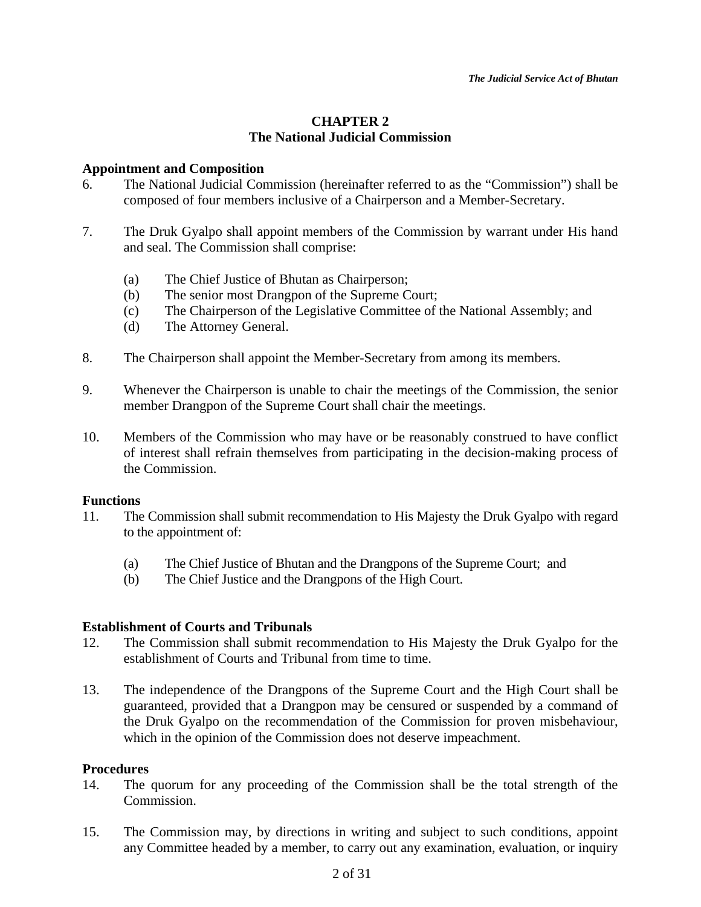# **CHAPTER 2 The National Judicial Commission**

## **Appointment and Composition**

- 6. The National Judicial Commission (hereinafter referred to as the "Commission") shall be composed of four members inclusive of a Chairperson and a Member-Secretary.
- 7. The Druk Gyalpo shall appoint members of the Commission by warrant under His hand and seal. The Commission shall comprise:
	- (a) The Chief Justice of Bhutan as Chairperson;
	- (b) The senior most Drangpon of the Supreme Court;
	- (c) The Chairperson of the Legislative Committee of the National Assembly; and
	- (d) The Attorney General.
- 8. The Chairperson shall appoint the Member-Secretary from among its members.
- 9. Whenever the Chairperson is unable to chair the meetings of the Commission, the senior member Drangpon of the Supreme Court shall chair the meetings.
- 10. Members of the Commission who may have or be reasonably construed to have conflict of interest shall refrain themselves from participating in the decision-making process of the Commission.

# **Functions**

- 11. The Commission shall submit recommendation to His Majesty the Druk Gyalpo with regard to the appointment of:
	- (a) The Chief Justice of Bhutan and the Drangpons of the Supreme Court; and
	- (b) The Chief Justice and the Drangpons of the High Court.

# **Establishment of Courts and Tribunals**

- 12. The Commission shall submit recommendation to His Majesty the Druk Gyalpo for the establishment of Courts and Tribunal from time to time.
- 13. The independence of the Drangpons of the Supreme Court and the High Court shall be guaranteed, provided that a Drangpon may be censured or suspended by a command of the Druk Gyalpo on the recommendation of the Commission for proven misbehaviour, which in the opinion of the Commission does not deserve impeachment.

# **Procedures**

- 14. The quorum for any proceeding of the Commission shall be the total strength of the Commission.
- 15. The Commission may, by directions in writing and subject to such conditions, appoint any Committee headed by a member, to carry out any examination, evaluation, or inquiry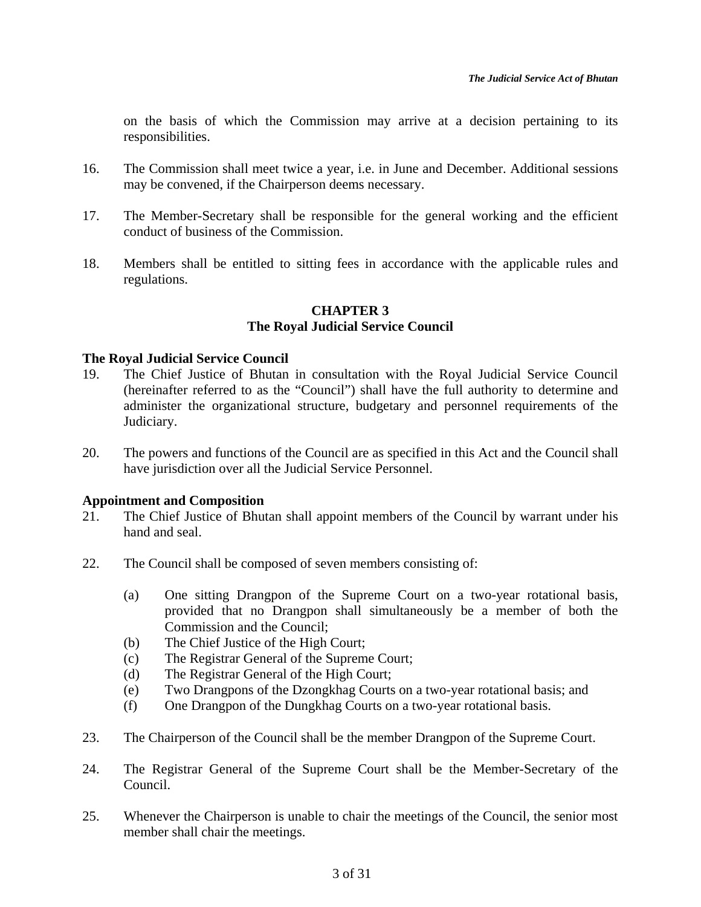on the basis of which the Commission may arrive at a decision pertaining to its responsibilities.

- 16. The Commission shall meet twice a year, i.e. in June and December. Additional sessions may be convened, if the Chairperson deems necessary.
- 17. The Member-Secretary shall be responsible for the general working and the efficient conduct of business of the Commission.
- 18. Members shall be entitled to sitting fees in accordance with the applicable rules and regulations.

# **CHAPTER 3**

# **The Royal Judicial Service Council**

## **The Royal Judicial Service Council**

- 19. The Chief Justice of Bhutan in consultation with the Royal Judicial Service Council (hereinafter referred to as the "Council") shall have the full authority to determine and administer the organizational structure, budgetary and personnel requirements of the Judiciary.
- 20. The powers and functions of the Council are as specified in this Act and the Council shall have jurisdiction over all the Judicial Service Personnel.

# **Appointment and Composition**

- 21. The Chief Justice of Bhutan shall appoint members of the Council by warrant under his hand and seal.
- 22. The Council shall be composed of seven members consisting of:
	- (a) One sitting Drangpon of the Supreme Court on a two-year rotational basis, provided that no Drangpon shall simultaneously be a member of both the Commission and the Council;
	- (b) The Chief Justice of the High Court;
	- (c) The Registrar General of the Supreme Court;
	- (d) The Registrar General of the High Court;
	- (e) Two Drangpons of the Dzongkhag Courts on a two-year rotational basis; and
	- (f) One Drangpon of the Dungkhag Courts on a two-year rotational basis.
- 23. The Chairperson of the Council shall be the member Drangpon of the Supreme Court.
- 24. The Registrar General of the Supreme Court shall be the Member-Secretary of the Council.
- 25. Whenever the Chairperson is unable to chair the meetings of the Council, the senior most member shall chair the meetings.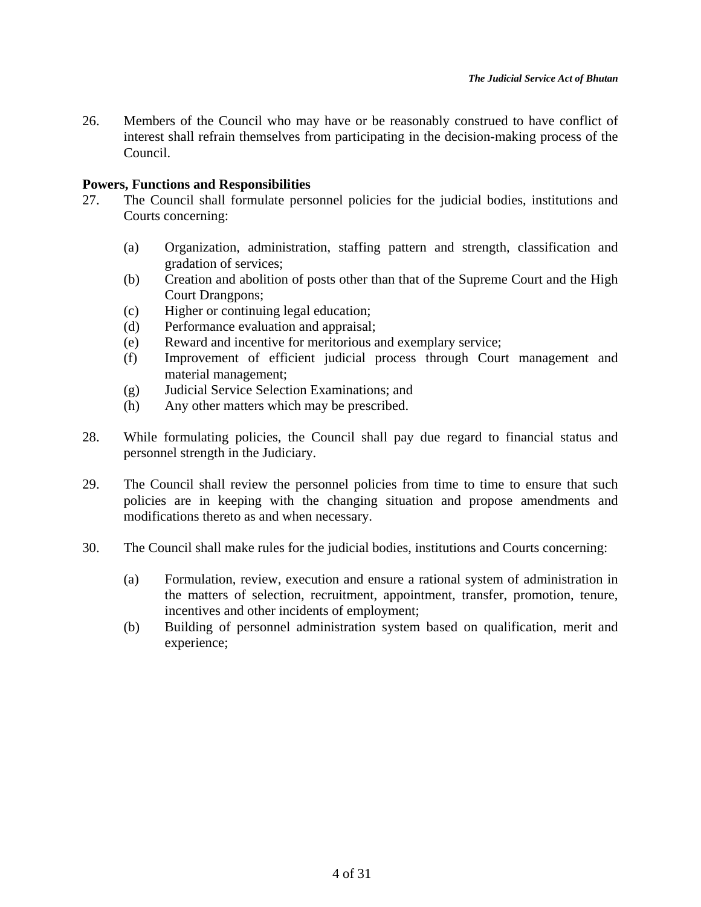26. Members of the Council who may have or be reasonably construed to have conflict of interest shall refrain themselves from participating in the decision-making process of the Council.

# **Powers, Functions and Responsibilities**

- 27. The Council shall formulate personnel policies for the judicial bodies, institutions and Courts concerning:
	- (a) Organization, administration, staffing pattern and strength, classification and gradation of services;
	- (b) Creation and abolition of posts other than that of the Supreme Court and the High Court Drangpons;
	- (c) Higher or continuing legal education;
	- (d) Performance evaluation and appraisal;
	- (e) Reward and incentive for meritorious and exemplary service;
	- (f) Improvement of efficient judicial process through Court management and material management;
	- (g) Judicial Service Selection Examinations; and
	- (h) Any other matters which may be prescribed.
- 28. While formulating policies, the Council shall pay due regard to financial status and personnel strength in the Judiciary.
- 29. The Council shall review the personnel policies from time to time to ensure that such policies are in keeping with the changing situation and propose amendments and modifications thereto as and when necessary.
- 30. The Council shall make rules for the judicial bodies, institutions and Courts concerning:
	- (a) Formulation, review, execution and ensure a rational system of administration in the matters of selection, recruitment, appointment, transfer, promotion, tenure, incentives and other incidents of employment;
	- (b) Building of personnel administration system based on qualification, merit and experience;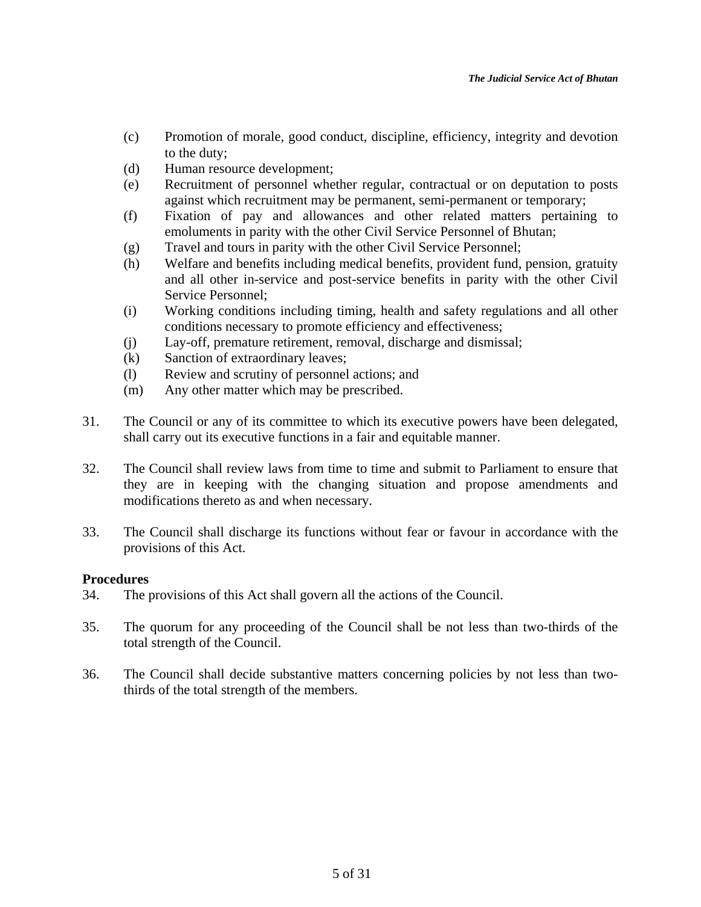- (c) Promotion of morale, good conduct, discipline, efficiency, integrity and devotion to the duty;
- (d) Human resource development;
- (e) Recruitment of personnel whether regular, contractual or on deputation to posts against which recruitment may be permanent, semi-permanent or temporary;
- (f) Fixation of pay and allowances and other related matters pertaining to emoluments in parity with the other Civil Service Personnel of Bhutan;
- (g) Travel and tours in parity with the other Civil Service Personnel;
- (h) Welfare and benefits including medical benefits, provident fund, pension, gratuity and all other in-service and post-service benefits in parity with the other Civil Service Personnel;
- (i) Working conditions including timing, health and safety regulations and all other conditions necessary to promote efficiency and effectiveness;
- (j) Lay-off, premature retirement, removal, discharge and dismissal;
- (k) Sanction of extraordinary leaves;
- (l) Review and scrutiny of personnel actions; and
- (m) Any other matter which may be prescribed.
- 31. The Council or any of its committee to which its executive powers have been delegated, shall carry out its executive functions in a fair and equitable manner.
- 32. The Council shall review laws from time to time and submit to Parliament to ensure that they are in keeping with the changing situation and propose amendments and modifications thereto as and when necessary.
- 33. The Council shall discharge its functions without fear or favour in accordance with the provisions of this Act.

# **Procedures**

- 34. The provisions of this Act shall govern all the actions of the Council.
- 35. The quorum for any proceeding of the Council shall be not less than two-thirds of the total strength of the Council.
- 36. The Council shall decide substantive matters concerning policies by not less than twothirds of the total strength of the members.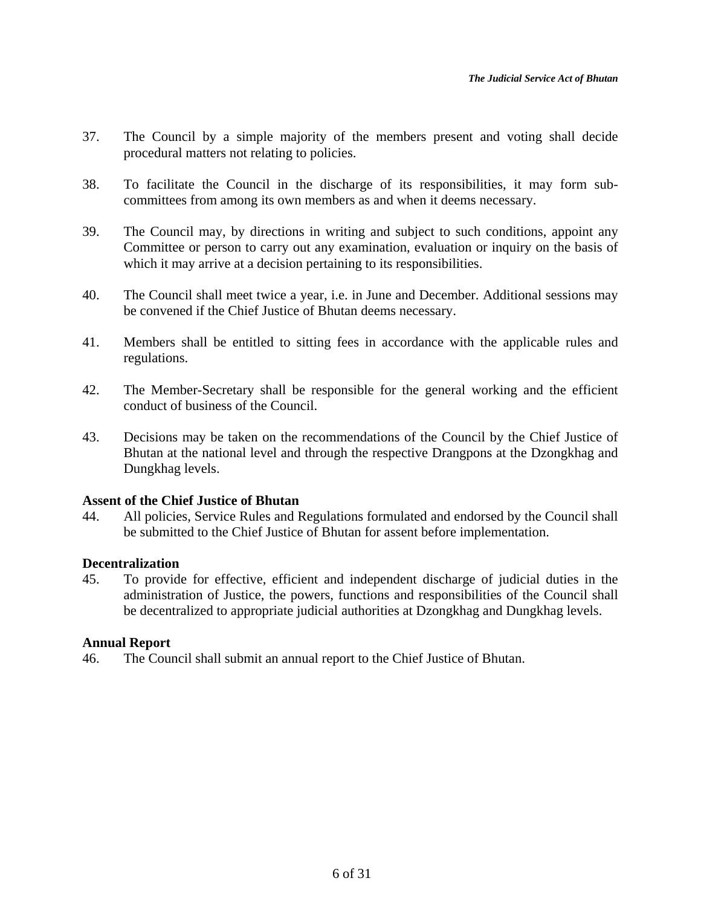- 37. The Council by a simple majority of the members present and voting shall decide procedural matters not relating to policies.
- 38. To facilitate the Council in the discharge of its responsibilities, it may form subcommittees from among its own members as and when it deems necessary.
- 39. The Council may, by directions in writing and subject to such conditions, appoint any Committee or person to carry out any examination, evaluation or inquiry on the basis of which it may arrive at a decision pertaining to its responsibilities.
- 40. The Council shall meet twice a year, i.e. in June and December. Additional sessions may be convened if the Chief Justice of Bhutan deems necessary.
- 41. Members shall be entitled to sitting fees in accordance with the applicable rules and regulations.
- 42. The Member-Secretary shall be responsible for the general working and the efficient conduct of business of the Council.
- 43. Decisions may be taken on the recommendations of the Council by the Chief Justice of Bhutan at the national level and through the respective Drangpons at the Dzongkhag and Dungkhag levels.

# **Assent of the Chief Justice of Bhutan**

44. All policies, Service Rules and Regulations formulated and endorsed by the Council shall be submitted to the Chief Justice of Bhutan for assent before implementation.

# **Decentralization**

45. To provide for effective, efficient and independent discharge of judicial duties in the administration of Justice, the powers, functions and responsibilities of the Council shall be decentralized to appropriate judicial authorities at Dzongkhag and Dungkhag levels.

# **Annual Report**

46. The Council shall submit an annual report to the Chief Justice of Bhutan.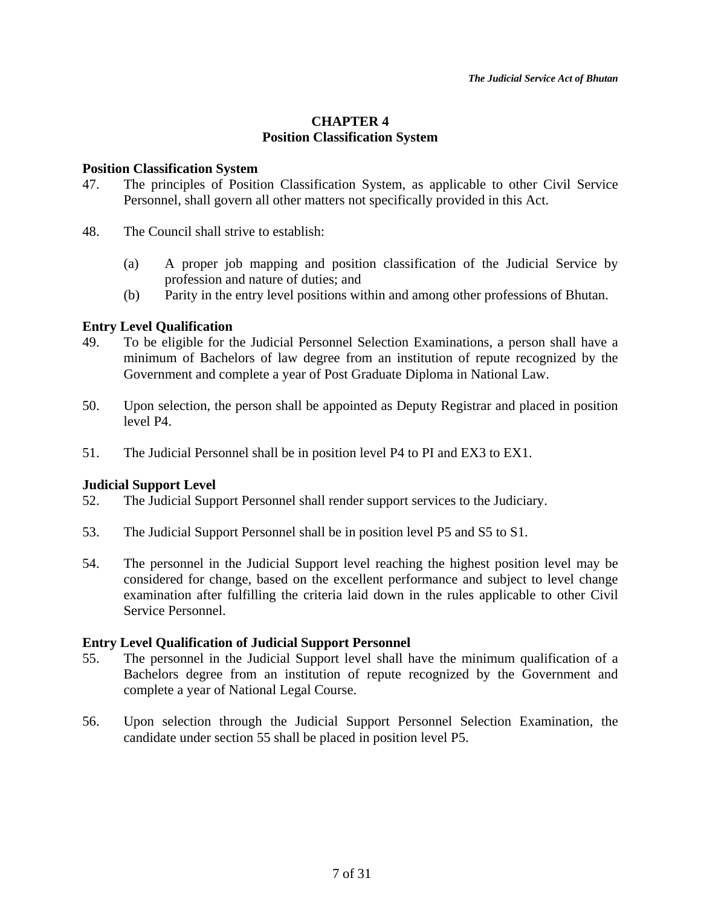# **CHAPTER 4 Position Classification System**

## **Position Classification System**

- 47. The principles of Position Classification System, as applicable to other Civil Service Personnel, shall govern all other matters not specifically provided in this Act.
- 48. The Council shall strive to establish:
	- (a) A proper job mapping and position classification of the Judicial Service by profession and nature of duties; and
	- (b) Parity in the entry level positions within and among other professions of Bhutan.

# **Entry Level Qualification**

- 49. To be eligible for the Judicial Personnel Selection Examinations, a person shall have a minimum of Bachelors of law degree from an institution of repute recognized by the Government and complete a year of Post Graduate Diploma in National Law.
- 50. Upon selection, the person shall be appointed as Deputy Registrar and placed in position level P4.
- 51. The Judicial Personnel shall be in position level P4 to PI and EX3 to EX1.

# **Judicial Support Level**

- 52. The Judicial Support Personnel shall render support services to the Judiciary.
- 53. The Judicial Support Personnel shall be in position level P5 and S5 to S1.
- 54. The personnel in the Judicial Support level reaching the highest position level may be considered for change, based on the excellent performance and subject to level change examination after fulfilling the criteria laid down in the rules applicable to other Civil Service Personnel.

#### **Entry Level Qualification of Judicial Support Personnel**

- 55. The personnel in the Judicial Support level shall have the minimum qualification of a Bachelors degree from an institution of repute recognized by the Government and complete a year of National Legal Course.
- 56. Upon selection through the Judicial Support Personnel Selection Examination, the candidate under section 55 shall be placed in position level P5.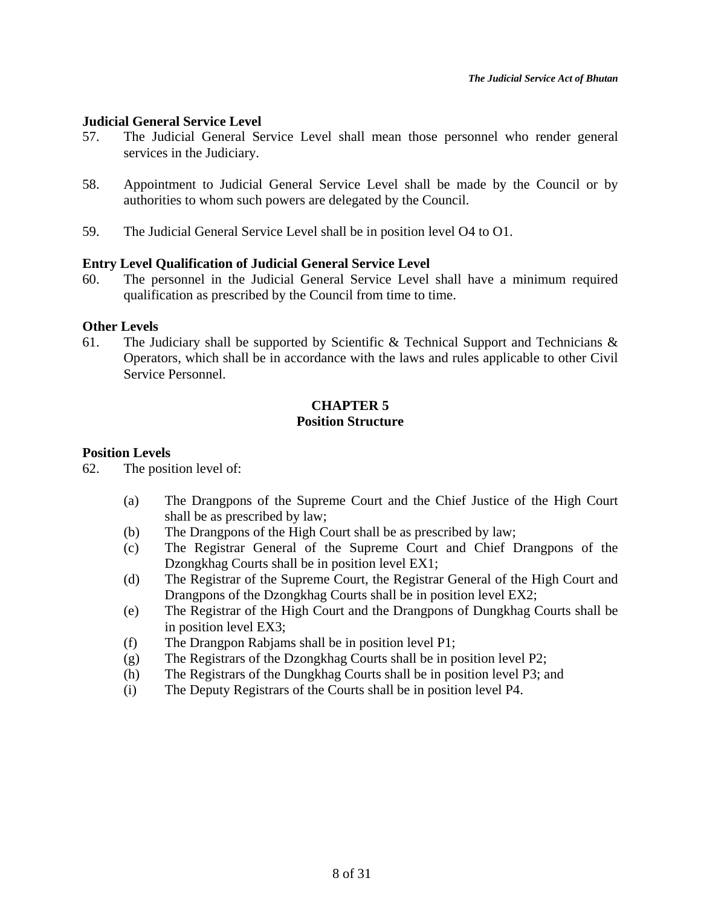## **Judicial General Service Level**

- 57. The Judicial General Service Level shall mean those personnel who render general services in the Judiciary.
- 58. Appointment to Judicial General Service Level shall be made by the Council or by authorities to whom such powers are delegated by the Council.
- 59. The Judicial General Service Level shall be in position level O4 to O1.

## **Entry Level Qualification of Judicial General Service Level**

60. The personnel in the Judicial General Service Level shall have a minimum required qualification as prescribed by the Council from time to time.

#### **Other Levels**

61. The Judiciary shall be supported by Scientific & Technical Support and Technicians  $\&$ Operators, which shall be in accordance with the laws and rules applicable to other Civil Service Personnel.

# **CHAPTER 5 Position Structure**

### **Position Levels**

62. The position level of:

- (a) The Drangpons of the Supreme Court and the Chief Justice of the High Court shall be as prescribed by law;
- (b) The Drangpons of the High Court shall be as prescribed by law;
- (c) The Registrar General of the Supreme Court and Chief Drangpons of the Dzongkhag Courts shall be in position level EX1;
- (d) The Registrar of the Supreme Court, the Registrar General of the High Court and Drangpons of the Dzongkhag Courts shall be in position level EX2;
- (e) The Registrar of the High Court and the Drangpons of Dungkhag Courts shall be in position level EX3;
- (f) The Drangpon Rabjams shall be in position level P1;
- (g) The Registrars of the Dzongkhag Courts shall be in position level P2;
- (h) The Registrars of the Dungkhag Courts shall be in position level P3; and
- (i) The Deputy Registrars of the Courts shall be in position level P4.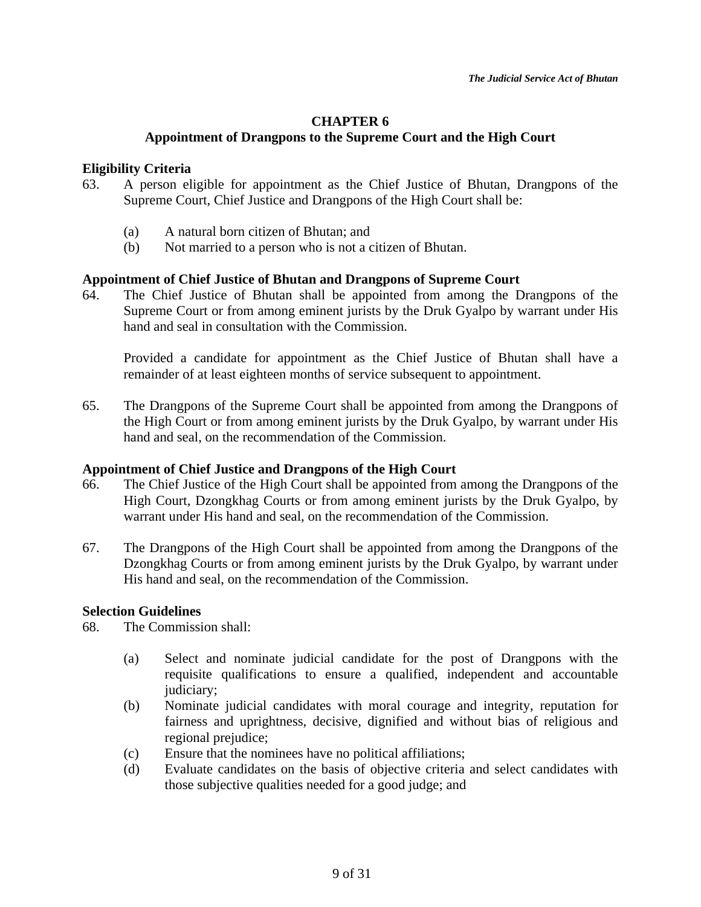# **CHAPTER 6**

# **Appointment of Drangpons to the Supreme Court and the High Court**

# **Eligibility Criteria**

- 63. A person eligible for appointment as the Chief Justice of Bhutan, Drangpons of the Supreme Court, Chief Justice and Drangpons of the High Court shall be:
	- (a) A natural born citizen of Bhutan; and
	- (b) Not married to a person who is not a citizen of Bhutan.

# **Appointment of Chief Justice of Bhutan and Drangpons of Supreme Court**

64. The Chief Justice of Bhutan shall be appointed from among the Drangpons of the Supreme Court or from among eminent jurists by the Druk Gyalpo by warrant under His hand and seal in consultation with the Commission.

Provided a candidate for appointment as the Chief Justice of Bhutan shall have a remainder of at least eighteen months of service subsequent to appointment.

65. The Drangpons of the Supreme Court shall be appointed from among the Drangpons of the High Court or from among eminent jurists by the Druk Gyalpo, by warrant under His hand and seal, on the recommendation of the Commission.

# **Appointment of Chief Justice and Drangpons of the High Court**

- 66. The Chief Justice of the High Court shall be appointed from among the Drangpons of the High Court, Dzongkhag Courts or from among eminent jurists by the Druk Gyalpo, by warrant under His hand and seal, on the recommendation of the Commission.
- 67. The Drangpons of the High Court shall be appointed from among the Drangpons of the Dzongkhag Courts or from among eminent jurists by the Druk Gyalpo, by warrant under His hand and seal, on the recommendation of the Commission.

# **Selection Guidelines**

68. The Commission shall:

- (a) Select and nominate judicial candidate for the post of Drangpons with the requisite qualifications to ensure a qualified, independent and accountable judiciary;
- (b) Nominate judicial candidates with moral courage and integrity, reputation for fairness and uprightness, decisive, dignified and without bias of religious and regional prejudice;
- (c) Ensure that the nominees have no political affiliations;
- (d) Evaluate candidates on the basis of objective criteria and select candidates with those subjective qualities needed for a good judge; and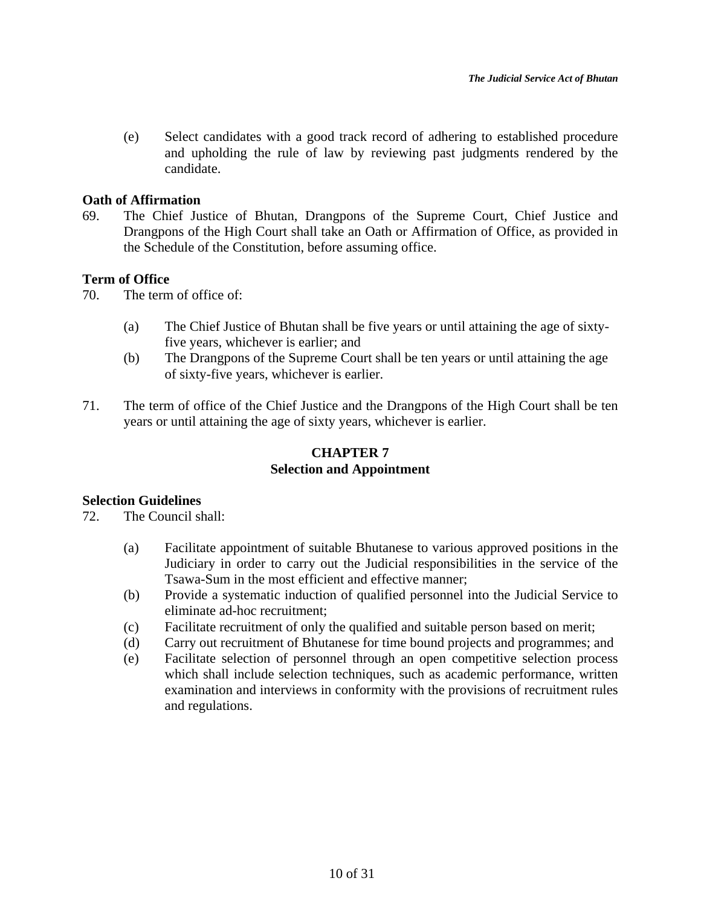(e) Select candidates with a good track record of adhering to established procedure and upholding the rule of law by reviewing past judgments rendered by the candidate.

# **Oath of Affirmation**

69. The Chief Justice of Bhutan, Drangpons of the Supreme Court, Chief Justice and Drangpons of the High Court shall take an Oath or Affirmation of Office, as provided in the Schedule of the Constitution, before assuming office.

# **Term of Office**

70. The term of office of:

- (a) The Chief Justice of Bhutan shall be five years or until attaining the age of sixtyfive years, whichever is earlier; and
- (b) The Drangpons of the Supreme Court shall be ten years or until attaining the age of sixty-five years, whichever is earlier.
- 71. The term of office of the Chief Justice and the Drangpons of the High Court shall be ten years or until attaining the age of sixty years, whichever is earlier.

# **CHAPTER 7 Selection and Appointment**

#### **Selection Guidelines**

72. The Council shall:

- (a) Facilitate appointment of suitable Bhutanese to various approved positions in the Judiciary in order to carry out the Judicial responsibilities in the service of the Tsawa-Sum in the most efficient and effective manner;
- (b) Provide a systematic induction of qualified personnel into the Judicial Service to eliminate ad-hoc recruitment;
- (c) Facilitate recruitment of only the qualified and suitable person based on merit;
- (d) Carry out recruitment of Bhutanese for time bound projects and programmes; and
- (e) Facilitate selection of personnel through an open competitive selection process which shall include selection techniques, such as academic performance, written examination and interviews in conformity with the provisions of recruitment rules and regulations.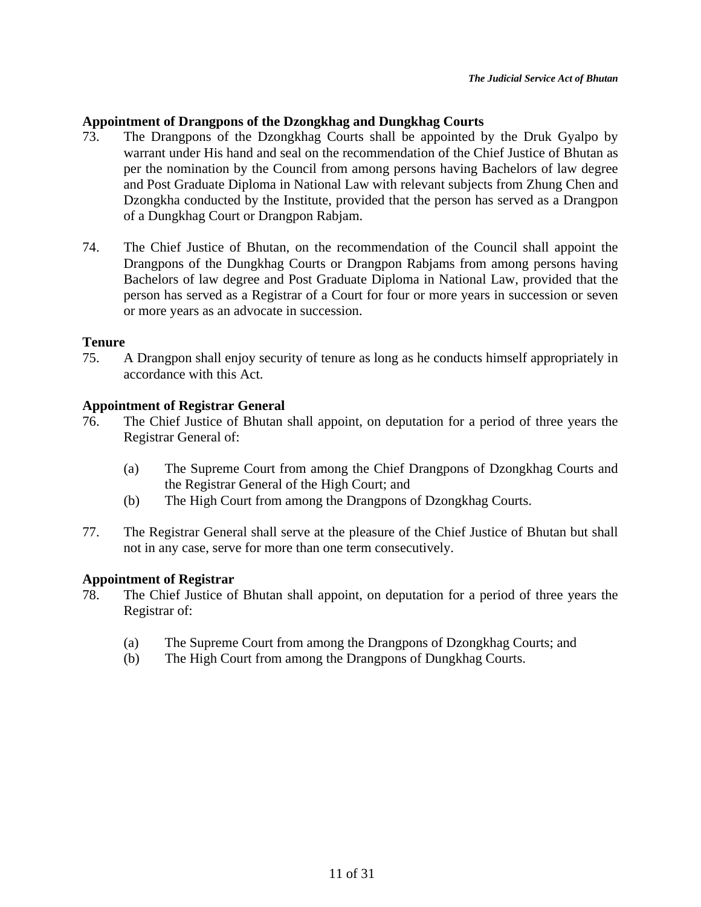# **Appointment of Drangpons of the Dzongkhag and Dungkhag Courts**

- 73. The Drangpons of the Dzongkhag Courts shall be appointed by the Druk Gyalpo by warrant under His hand and seal on the recommendation of the Chief Justice of Bhutan as per the nomination by the Council from among persons having Bachelors of law degree and Post Graduate Diploma in National Law with relevant subjects from Zhung Chen and Dzongkha conducted by the Institute, provided that the person has served as a Drangpon of a Dungkhag Court or Drangpon Rabjam.
- 74. The Chief Justice of Bhutan, on the recommendation of the Council shall appoint the Drangpons of the Dungkhag Courts or Drangpon Rabjams from among persons having Bachelors of law degree and Post Graduate Diploma in National Law, provided that the person has served as a Registrar of a Court for four or more years in succession or seven or more years as an advocate in succession.

## **Tenure**

75. A Drangpon shall enjoy security of tenure as long as he conducts himself appropriately in accordance with this Act.

# **Appointment of Registrar General**

- 76. The Chief Justice of Bhutan shall appoint, on deputation for a period of three years the Registrar General of:
	- (a) The Supreme Court from among the Chief Drangpons of Dzongkhag Courts and the Registrar General of the High Court; and
	- (b) The High Court from among the Drangpons of Dzongkhag Courts.
- 77. The Registrar General shall serve at the pleasure of the Chief Justice of Bhutan but shall not in any case, serve for more than one term consecutively.

# **Appointment of Registrar**

- 78. The Chief Justice of Bhutan shall appoint, on deputation for a period of three years the Registrar of:
	- (a) The Supreme Court from among the Drangpons of Dzongkhag Courts; and
	- (b) The High Court from among the Drangpons of Dungkhag Courts.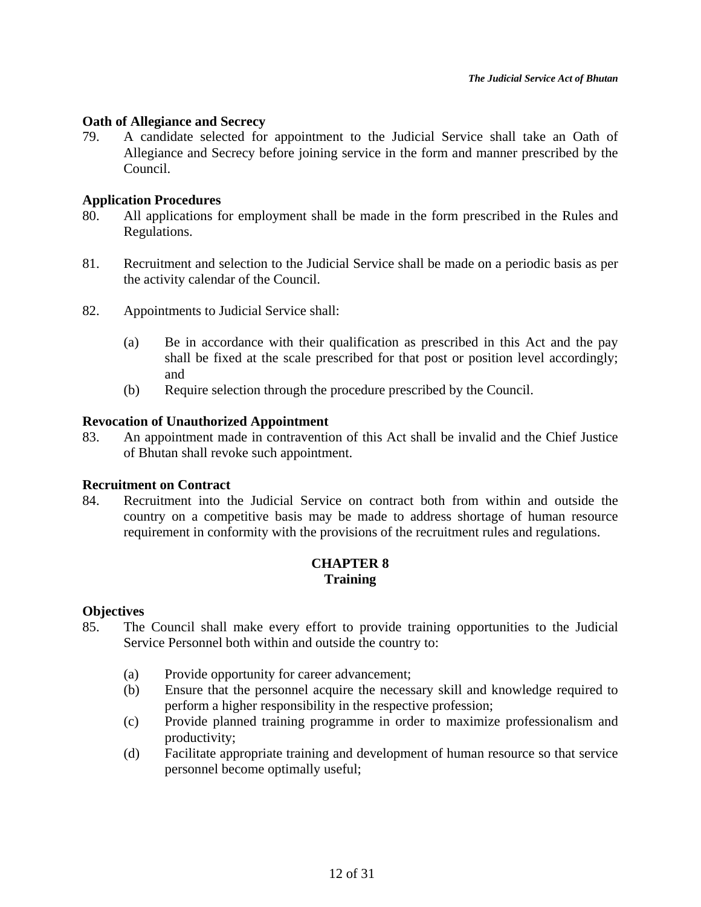## **Oath of Allegiance and Secrecy**

79. A candidate selected for appointment to the Judicial Service shall take an Oath of Allegiance and Secrecy before joining service in the form and manner prescribed by the Council.

### **Application Procedures**

- 80. All applications for employment shall be made in the form prescribed in the Rules and Regulations.
- 81. Recruitment and selection to the Judicial Service shall be made on a periodic basis as per the activity calendar of the Council.
- 82. Appointments to Judicial Service shall:
	- (a) Be in accordance with their qualification as prescribed in this Act and the pay shall be fixed at the scale prescribed for that post or position level accordingly; and
	- (b) Require selection through the procedure prescribed by the Council.

## **Revocation of Unauthorized Appointment**

83. An appointment made in contravention of this Act shall be invalid and the Chief Justice of Bhutan shall revoke such appointment.

# **Recruitment on Contract**

84. Recruitment into the Judicial Service on contract both from within and outside the country on a competitive basis may be made to address shortage of human resource requirement in conformity with the provisions of the recruitment rules and regulations.

# **CHAPTER 8 Training**

#### **Objectives**

- 85. The Council shall make every effort to provide training opportunities to the Judicial Service Personnel both within and outside the country to:
	- (a) Provide opportunity for career advancement;
	- (b) Ensure that the personnel acquire the necessary skill and knowledge required to perform a higher responsibility in the respective profession;
	- (c) Provide planned training programme in order to maximize professionalism and productivity;
	- (d) Facilitate appropriate training and development of human resource so that service personnel become optimally useful;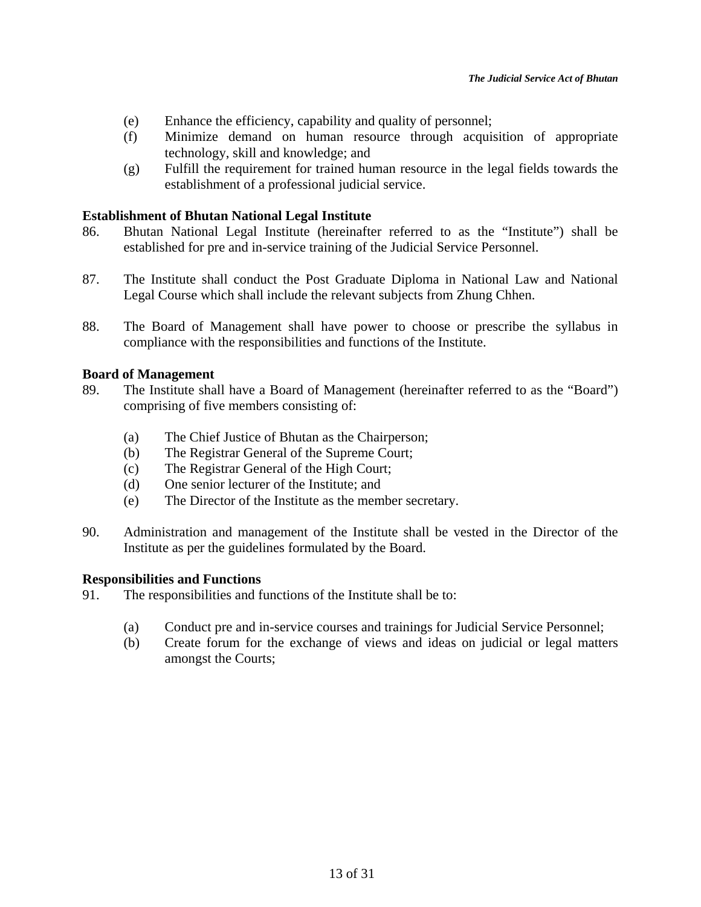- (e) Enhance the efficiency, capability and quality of personnel;
- (f) Minimize demand on human resource through acquisition of appropriate technology, skill and knowledge; and
- (g) Fulfill the requirement for trained human resource in the legal fields towards the establishment of a professional judicial service.

## **Establishment of Bhutan National Legal Institute**

- 86. Bhutan National Legal Institute (hereinafter referred to as the "Institute") shall be established for pre and in-service training of the Judicial Service Personnel.
- 87. The Institute shall conduct the Post Graduate Diploma in National Law and National Legal Course which shall include the relevant subjects from Zhung Chhen.
- 88. The Board of Management shall have power to choose or prescribe the syllabus in compliance with the responsibilities and functions of the Institute.

## **Board of Management**

- 89. The Institute shall have a Board of Management (hereinafter referred to as the "Board") comprising of five members consisting of:
	- (a) The Chief Justice of Bhutan as the Chairperson;
	- (b) The Registrar General of the Supreme Court;
	- (c) The Registrar General of the High Court;
	- (d) One senior lecturer of the Institute; and
	- (e) The Director of the Institute as the member secretary.
- 90. Administration and management of the Institute shall be vested in the Director of the Institute as per the guidelines formulated by the Board.

#### **Responsibilities and Functions**

- 91. The responsibilities and functions of the Institute shall be to:
	- (a) Conduct pre and in-service courses and trainings for Judicial Service Personnel;
	- (b) Create forum for the exchange of views and ideas on judicial or legal matters amongst the Courts;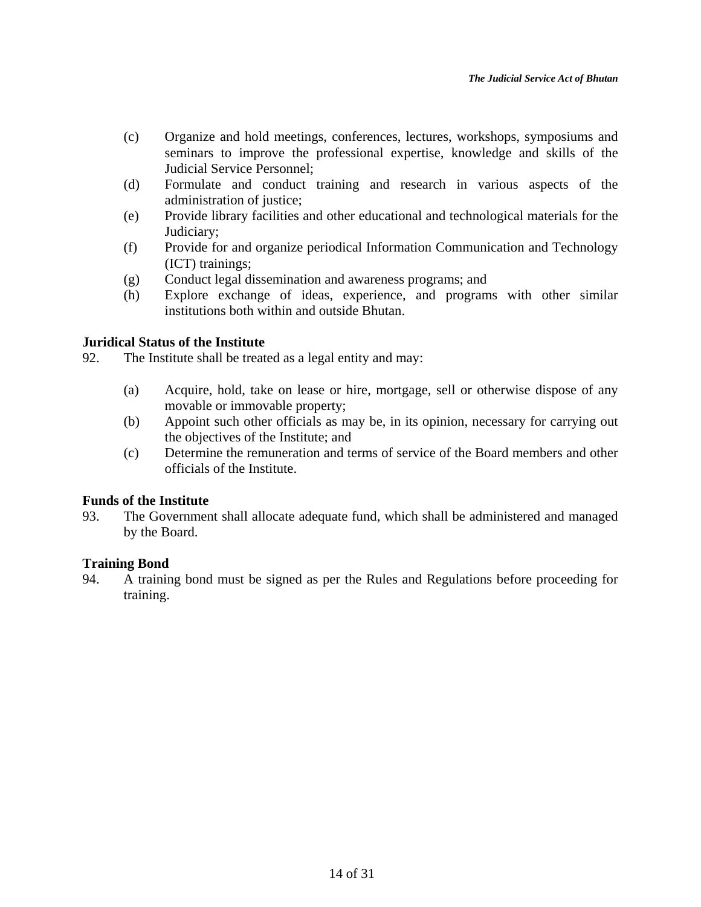- (c) Organize and hold meetings, conferences, lectures, workshops, symposiums and seminars to improve the professional expertise, knowledge and skills of the Judicial Service Personnel;
- (d) Formulate and conduct training and research in various aspects of the administration of justice;
- (e) Provide library facilities and other educational and technological materials for the Judiciary;
- (f) Provide for and organize periodical Information Communication and Technology (ICT) trainings;
- (g) Conduct legal dissemination and awareness programs; and
- (h) Explore exchange of ideas, experience, and programs with other similar institutions both within and outside Bhutan.

# **Juridical Status of the Institute**

92. The Institute shall be treated as a legal entity and may:

- (a) Acquire, hold, take on lease or hire, mortgage, sell or otherwise dispose of any movable or immovable property;
- (b) Appoint such other officials as may be, in its opinion, necessary for carrying out the objectives of the Institute; and
- (c) Determine the remuneration and terms of service of the Board members and other officials of the Institute.

# **Funds of the Institute**

93. The Government shall allocate adequate fund, which shall be administered and managed by the Board.

# **Training Bond**

94. A training bond must be signed as per the Rules and Regulations before proceeding for training.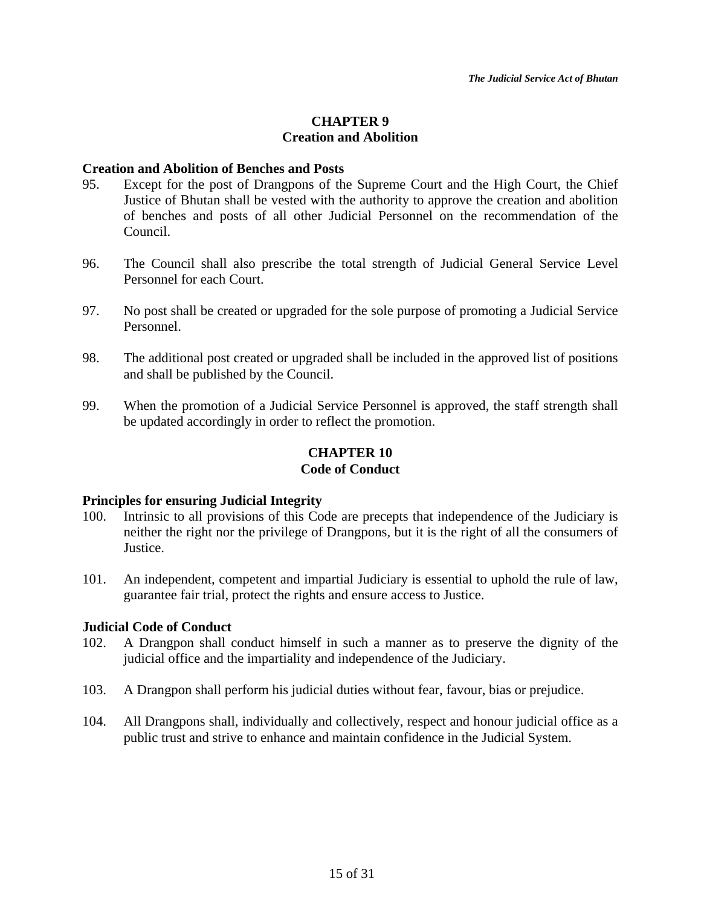# **CHAPTER 9 Creation and Abolition**

#### **Creation and Abolition of Benches and Posts**

- 95. Except for the post of Drangpons of the Supreme Court and the High Court, the Chief Justice of Bhutan shall be vested with the authority to approve the creation and abolition of benches and posts of all other Judicial Personnel on the recommendation of the Council.
- 96. The Council shall also prescribe the total strength of Judicial General Service Level Personnel for each Court.
- 97. No post shall be created or upgraded for the sole purpose of promoting a Judicial Service Personnel.
- 98. The additional post created or upgraded shall be included in the approved list of positions and shall be published by the Council.
- 99. When the promotion of a Judicial Service Personnel is approved, the staff strength shall be updated accordingly in order to reflect the promotion.

# **CHAPTER 10 Code of Conduct**

#### **Principles for ensuring Judicial Integrity**

- 100. Intrinsic to all provisions of this Code are precepts that independence of the Judiciary is neither the right nor the privilege of Drangpons, but it is the right of all the consumers of Justice.
- 101. An independent, competent and impartial Judiciary is essential to uphold the rule of law, guarantee fair trial, protect the rights and ensure access to Justice.

#### **Judicial Code of Conduct**

- 102. A Drangpon shall conduct himself in such a manner as to preserve the dignity of the judicial office and the impartiality and independence of the Judiciary.
- 103. A Drangpon shall perform his judicial duties without fear, favour, bias or prejudice.
- 104. All Drangpons shall, individually and collectively, respect and honour judicial office as a public trust and strive to enhance and maintain confidence in the Judicial System.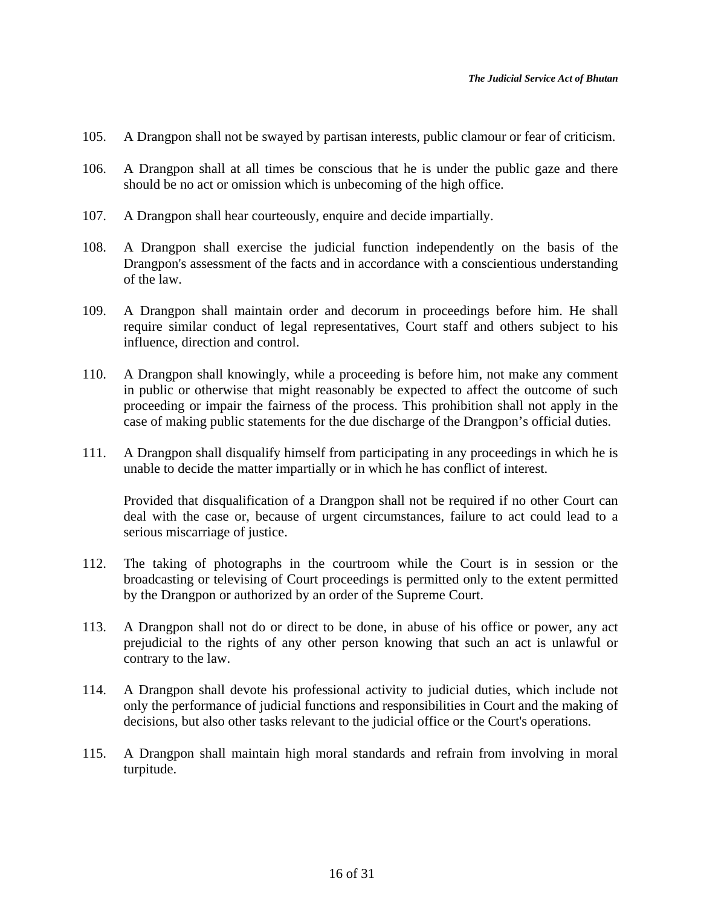- 105. A Drangpon shall not be swayed by partisan interests, public clamour or fear of criticism.
- 106. A Drangpon shall at all times be conscious that he is under the public gaze and there should be no act or omission which is unbecoming of the high office.
- 107. A Drangpon shall hear courteously, enquire and decide impartially.
- 108. A Drangpon shall exercise the judicial function independently on the basis of the Drangpon's assessment of the facts and in accordance with a conscientious understanding of the law.
- 109. A Drangpon shall maintain order and decorum in proceedings before him. He shall require similar conduct of legal representatives, Court staff and others subject to his influence, direction and control.
- 110. A Drangpon shall knowingly, while a proceeding is before him, not make any comment in public or otherwise that might reasonably be expected to affect the outcome of such proceeding or impair the fairness of the process. This prohibition shall not apply in the case of making public statements for the due discharge of the Drangpon's official duties.
- 111. A Drangpon shall disqualify himself from participating in any proceedings in which he is unable to decide the matter impartially or in which he has conflict of interest.

Provided that disqualification of a Drangpon shall not be required if no other Court can deal with the case or, because of urgent circumstances, failure to act could lead to a serious miscarriage of justice.

- 112. The taking of photographs in the courtroom while the Court is in session or the broadcasting or televising of Court proceedings is permitted only to the extent permitted by the Drangpon or authorized by an order of the Supreme Court.
- 113. A Drangpon shall not do or direct to be done, in abuse of his office or power, any act prejudicial to the rights of any other person knowing that such an act is unlawful or contrary to the law.
- 114. A Drangpon shall devote his professional activity to judicial duties, which include not only the performance of judicial functions and responsibilities in Court and the making of decisions, but also other tasks relevant to the judicial office or the Court's operations.
- 115. A Drangpon shall maintain high moral standards and refrain from involving in moral turpitude.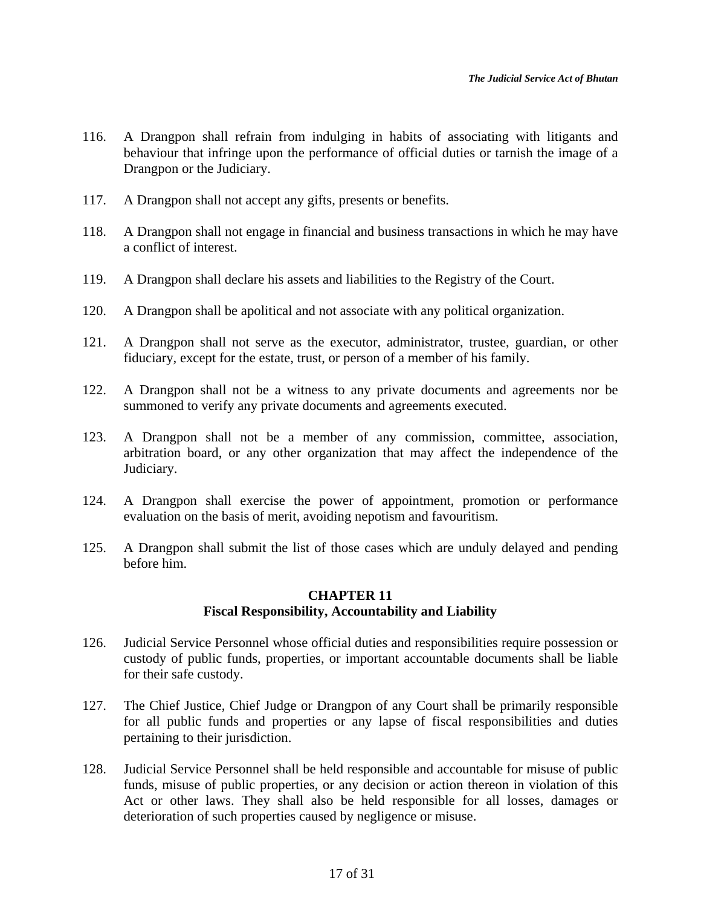- 116. A Drangpon shall refrain from indulging in habits of associating with litigants and behaviour that infringe upon the performance of official duties or tarnish the image of a Drangpon or the Judiciary.
- 117. A Drangpon shall not accept any gifts, presents or benefits.
- 118. A Drangpon shall not engage in financial and business transactions in which he may have a conflict of interest.
- 119. A Drangpon shall declare his assets and liabilities to the Registry of the Court.
- 120. A Drangpon shall be apolitical and not associate with any political organization.
- 121. A Drangpon shall not serve as the executor, administrator, trustee, guardian, or other fiduciary, except for the estate, trust, or person of a member of his family.
- 122. A Drangpon shall not be a witness to any private documents and agreements nor be summoned to verify any private documents and agreements executed.
- 123. A Drangpon shall not be a member of any commission, committee, association, arbitration board, or any other organization that may affect the independence of the Judiciary.
- 124. A Drangpon shall exercise the power of appointment, promotion or performance evaluation on the basis of merit, avoiding nepotism and favouritism.
- 125. A Drangpon shall submit the list of those cases which are unduly delayed and pending before him.

# **CHAPTER 11 Fiscal Responsibility, Accountability and Liability**

- 126. Judicial Service Personnel whose official duties and responsibilities require possession or custody of public funds, properties, or important accountable documents shall be liable for their safe custody.
- 127. The Chief Justice, Chief Judge or Drangpon of any Court shall be primarily responsible for all public funds and properties or any lapse of fiscal responsibilities and duties pertaining to their jurisdiction.
- 128. Judicial Service Personnel shall be held responsible and accountable for misuse of public funds, misuse of public properties, or any decision or action thereon in violation of this Act or other laws. They shall also be held responsible for all losses, damages or deterioration of such properties caused by negligence or misuse.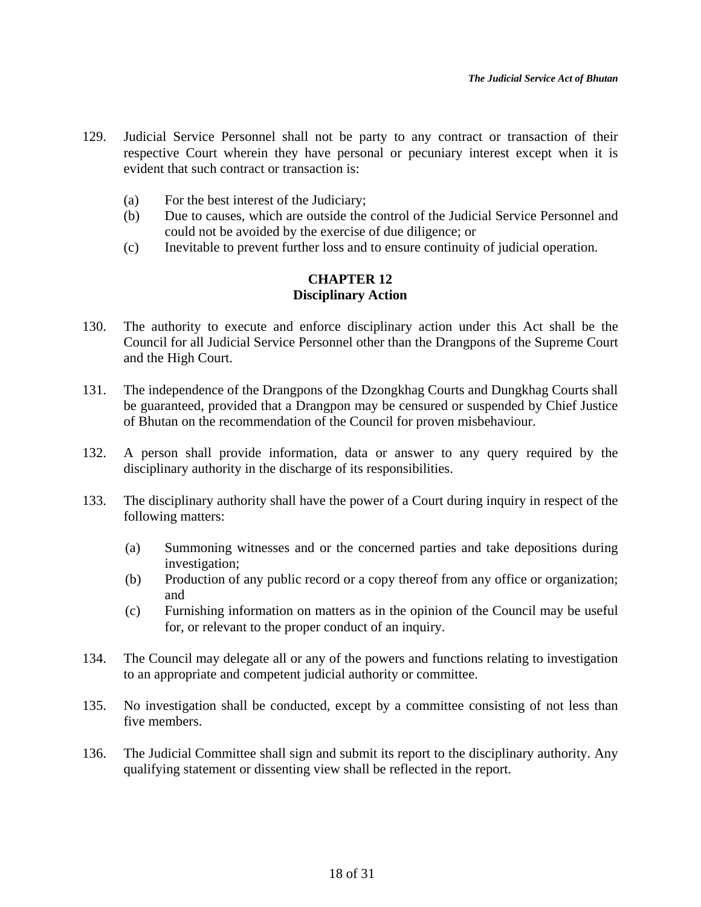- 129. Judicial Service Personnel shall not be party to any contract or transaction of their respective Court wherein they have personal or pecuniary interest except when it is evident that such contract or transaction is:
	- (a) For the best interest of the Judiciary;
	- (b) Due to causes, which are outside the control of the Judicial Service Personnel and could not be avoided by the exercise of due diligence; or
	- (c) Inevitable to prevent further loss and to ensure continuity of judicial operation.

# **CHAPTER 12 Disciplinary Action**

- 130. The authority to execute and enforce disciplinary action under this Act shall be the Council for all Judicial Service Personnel other than the Drangpons of the Supreme Court and the High Court.
- 131. The independence of the Drangpons of the Dzongkhag Courts and Dungkhag Courts shall be guaranteed, provided that a Drangpon may be censured or suspended by Chief Justice of Bhutan on the recommendation of the Council for proven misbehaviour.
- 132. A person shall provide information, data or answer to any query required by the disciplinary authority in the discharge of its responsibilities.
- 133. The disciplinary authority shall have the power of a Court during inquiry in respect of the following matters:
	- (a) Summoning witnesses and or the concerned parties and take depositions during investigation;
	- (b) Production of any public record or a copy thereof from any office or organization; and
	- (c) Furnishing information on matters as in the opinion of the Council may be useful for, or relevant to the proper conduct of an inquiry.
- 134. The Council may delegate all or any of the powers and functions relating to investigation to an appropriate and competent judicial authority or committee.
- 135. No investigation shall be conducted, except by a committee consisting of not less than five members.
- 136. The Judicial Committee shall sign and submit its report to the disciplinary authority. Any qualifying statement or dissenting view shall be reflected in the report.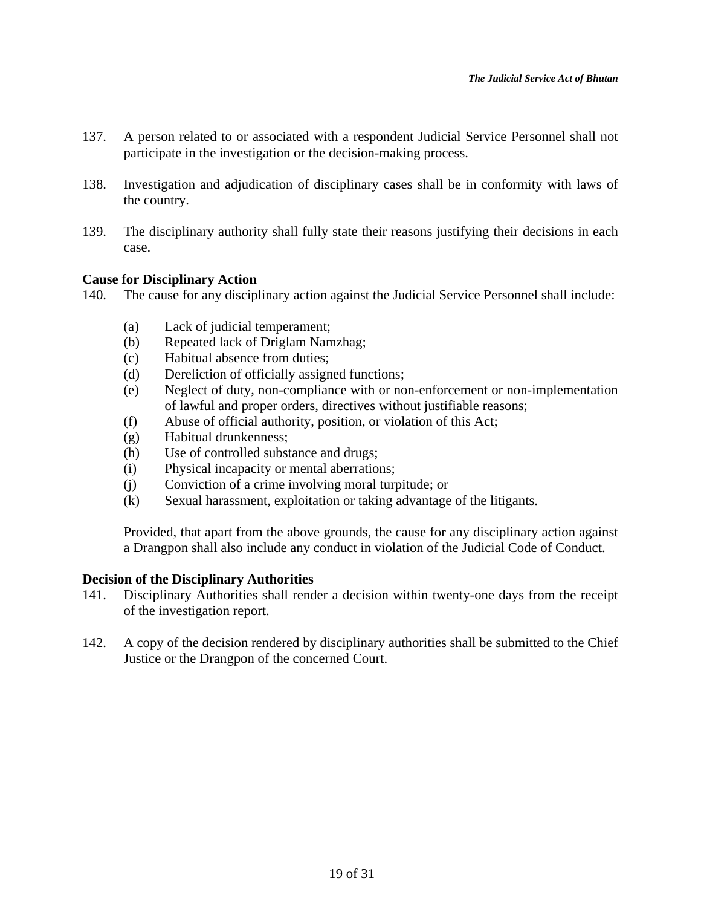- 137. A person related to or associated with a respondent Judicial Service Personnel shall not participate in the investigation or the decision-making process.
- 138. Investigation and adjudication of disciplinary cases shall be in conformity with laws of the country.
- 139. The disciplinary authority shall fully state their reasons justifying their decisions in each case.

## **Cause for Disciplinary Action**

- 140. The cause for any disciplinary action against the Judicial Service Personnel shall include:
	- (a) Lack of judicial temperament;
	- (b) Repeated lack of Driglam Namzhag;
	- (c) Habitual absence from duties;
	- (d) Dereliction of officially assigned functions;
	- (e) Neglect of duty, non-compliance with or non-enforcement or non-implementation of lawful and proper orders, directives without justifiable reasons;
	- (f) Abuse of official authority, position, or violation of this Act;
	- (g) Habitual drunkenness;
	- (h) Use of controlled substance and drugs;
	- (i) Physical incapacity or mental aberrations;
	- (j) Conviction of a crime involving moral turpitude; or
	- (k) Sexual harassment, exploitation or taking advantage of the litigants.

Provided, that apart from the above grounds, the cause for any disciplinary action against a Drangpon shall also include any conduct in violation of the Judicial Code of Conduct.

#### **Decision of the Disciplinary Authorities**

- 141. Disciplinary Authorities shall render a decision within twenty-one days from the receipt of the investigation report.
- 142. A copy of the decision rendered by disciplinary authorities shall be submitted to the Chief Justice or the Drangpon of the concerned Court.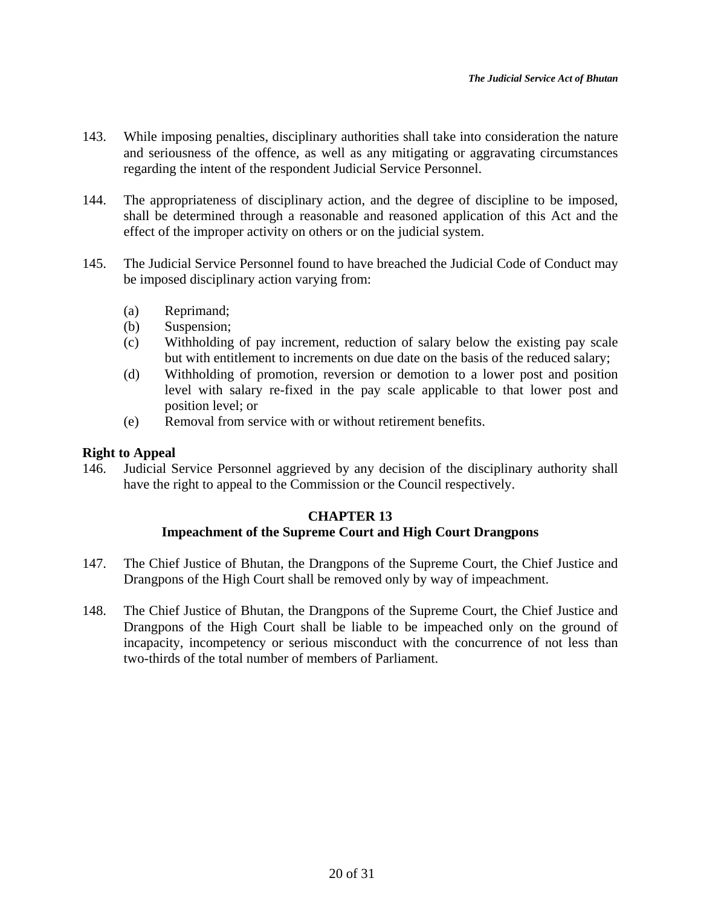- 143. While imposing penalties, disciplinary authorities shall take into consideration the nature and seriousness of the offence, as well as any mitigating or aggravating circumstances regarding the intent of the respondent Judicial Service Personnel.
- 144. The appropriateness of disciplinary action, and the degree of discipline to be imposed, shall be determined through a reasonable and reasoned application of this Act and the effect of the improper activity on others or on the judicial system.
- 145. The Judicial Service Personnel found to have breached the Judicial Code of Conduct may be imposed disciplinary action varying from:
	- (a) Reprimand;
	- (b) Suspension;
	- (c) Withholding of pay increment, reduction of salary below the existing pay scale but with entitlement to increments on due date on the basis of the reduced salary;
	- (d) Withholding of promotion, reversion or demotion to a lower post and position level with salary re-fixed in the pay scale applicable to that lower post and position level; or
	- (e) Removal from service with or without retirement benefits.

# **Right to Appeal**

146. Judicial Service Personnel aggrieved by any decision of the disciplinary authority shall have the right to appeal to the Commission or the Council respectively.

# **CHAPTER 13 Impeachment of the Supreme Court and High Court Drangpons**

- 147. The Chief Justice of Bhutan, the Drangpons of the Supreme Court, the Chief Justice and Drangpons of the High Court shall be removed only by way of impeachment.
- 148. The Chief Justice of Bhutan, the Drangpons of the Supreme Court, the Chief Justice and Drangpons of the High Court shall be liable to be impeached only on the ground of incapacity, incompetency or serious misconduct with the concurrence of not less than two-thirds of the total number of members of Parliament.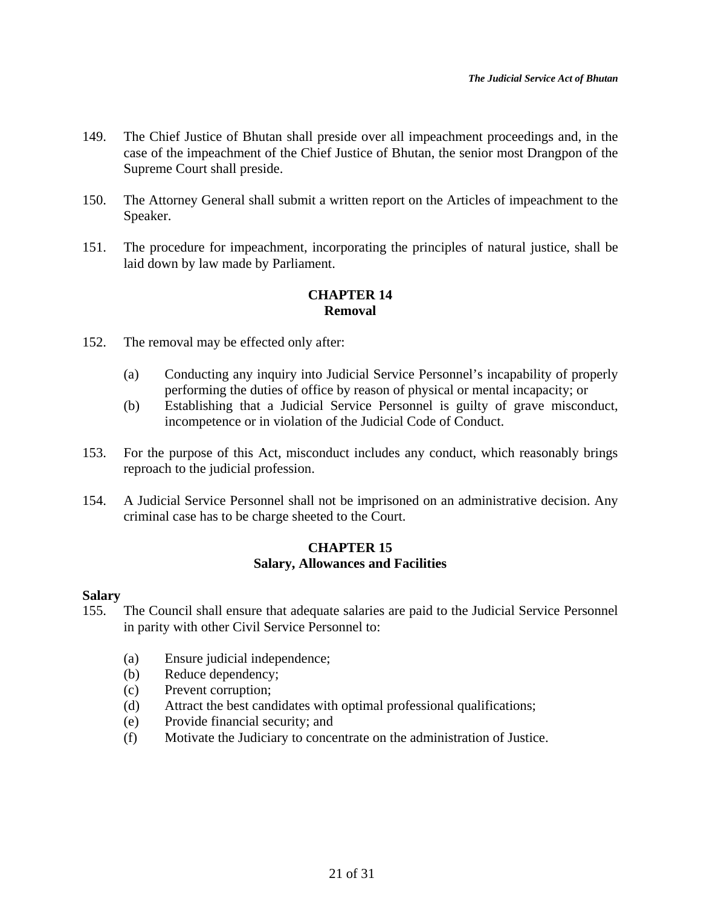- 149. The Chief Justice of Bhutan shall preside over all impeachment proceedings and, in the case of the impeachment of the Chief Justice of Bhutan, the senior most Drangpon of the Supreme Court shall preside.
- 150. The Attorney General shall submit a written report on the Articles of impeachment to the Speaker.
- 151. The procedure for impeachment, incorporating the principles of natural justice, shall be laid down by law made by Parliament.

# **CHAPTER 14 Removal**

- 152. The removal may be effected only after:
	- (a) Conducting any inquiry into Judicial Service Personnel's incapability of properly performing the duties of office by reason of physical or mental incapacity; or
	- (b) Establishing that a Judicial Service Personnel is guilty of grave misconduct, incompetence or in violation of the Judicial Code of Conduct.
- 153. For the purpose of this Act, misconduct includes any conduct, which reasonably brings reproach to the judicial profession.
- 154. A Judicial Service Personnel shall not be imprisoned on an administrative decision. Any criminal case has to be charge sheeted to the Court.

# **CHAPTER 15 Salary, Allowances and Facilities**

# **Salary**

- 155. The Council shall ensure that adequate salaries are paid to the Judicial Service Personnel in parity with other Civil Service Personnel to:
	- (a) Ensure judicial independence;
	- (b) Reduce dependency;
	- (c) Prevent corruption;
	- (d) Attract the best candidates with optimal professional qualifications;
	- (e) Provide financial security; and
	- (f) Motivate the Judiciary to concentrate on the administration of Justice.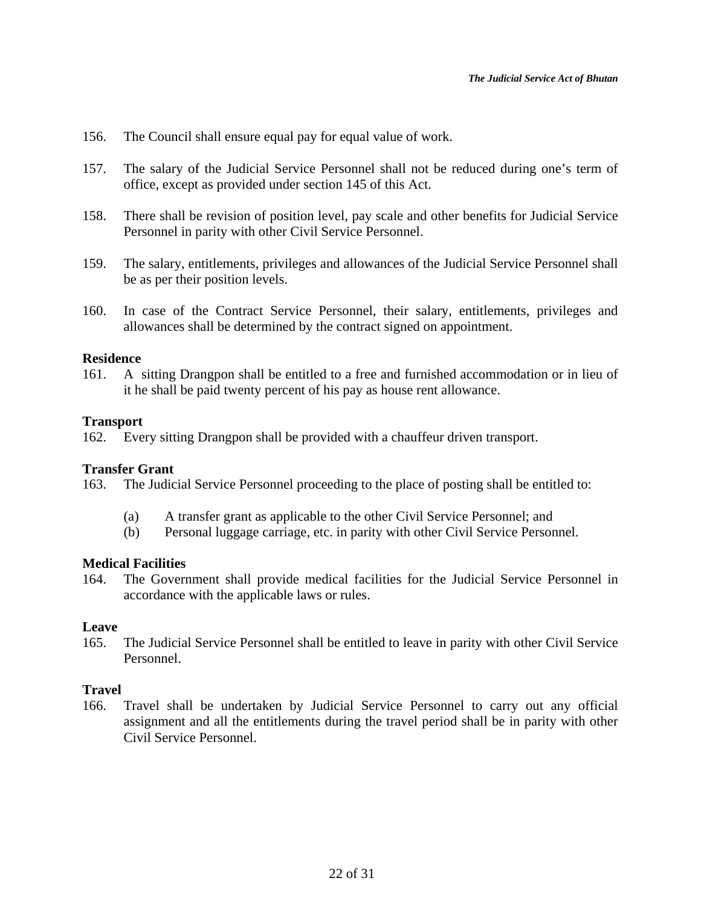- 156. The Council shall ensure equal pay for equal value of work.
- 157. The salary of the Judicial Service Personnel shall not be reduced during one's term of office, except as provided under section 145 of this Act.
- 158. There shall be revision of position level, pay scale and other benefits for Judicial Service Personnel in parity with other Civil Service Personnel.
- 159. The salary, entitlements, privileges and allowances of the Judicial Service Personnel shall be as per their position levels.
- 160. In case of the Contract Service Personnel, their salary, entitlements, privileges and allowances shall be determined by the contract signed on appointment.

## **Residence**

161. A sitting Drangpon shall be entitled to a free and furnished accommodation or in lieu of it he shall be paid twenty percent of his pay as house rent allowance.

## **Transport**

162. Every sitting Drangpon shall be provided with a chauffeur driven transport.

#### **Transfer Grant**

163. The Judicial Service Personnel proceeding to the place of posting shall be entitled to:

- (a) A transfer grant as applicable to the other Civil Service Personnel; and
- (b) Personal luggage carriage, etc. in parity with other Civil Service Personnel.

#### **Medical Facilities**

164. The Government shall provide medical facilities for the Judicial Service Personnel in accordance with the applicable laws or rules.

#### **Leave**

165. The Judicial Service Personnel shall be entitled to leave in parity with other Civil Service Personnel.

# **Travel**

166. Travel shall be undertaken by Judicial Service Personnel to carry out any official assignment and all the entitlements during the travel period shall be in parity with other Civil Service Personnel.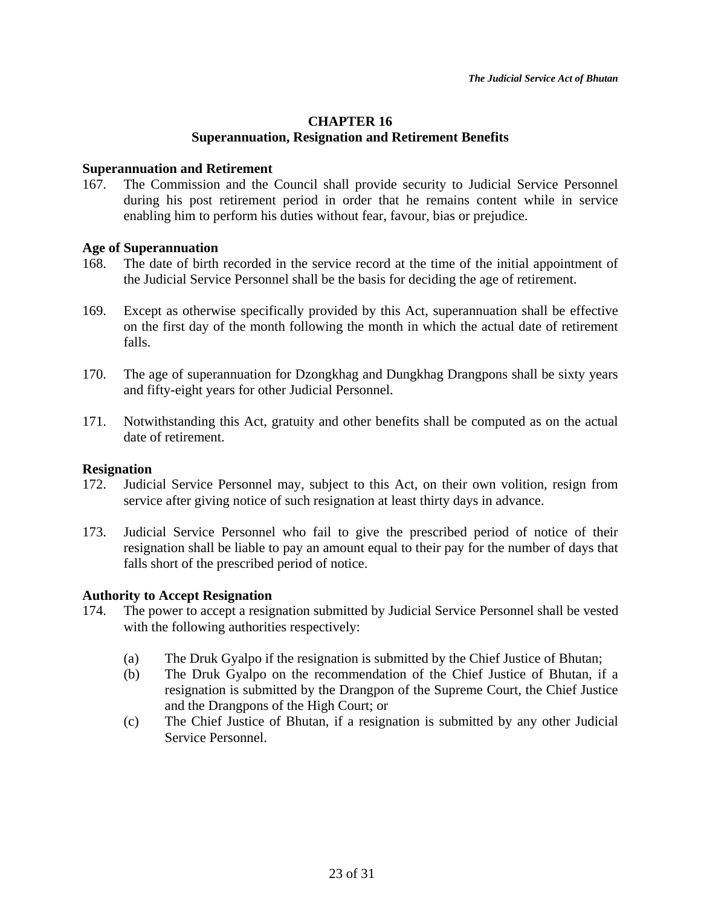# **CHAPTER 16 Superannuation, Resignation and Retirement Benefits**

### **Superannuation and Retirement**

167. The Commission and the Council shall provide security to Judicial Service Personnel during his post retirement period in order that he remains content while in service enabling him to perform his duties without fear, favour, bias or prejudice.

## **Age of Superannuation**

- 168. The date of birth recorded in the service record at the time of the initial appointment of the Judicial Service Personnel shall be the basis for deciding the age of retirement.
- 169. Except as otherwise specifically provided by this Act, superannuation shall be effective on the first day of the month following the month in which the actual date of retirement falls.
- 170. The age of superannuation for Dzongkhag and Dungkhag Drangpons shall be sixty years and fifty-eight years for other Judicial Personnel.
- 171. Notwithstanding this Act, gratuity and other benefits shall be computed as on the actual date of retirement.

# **Resignation**

- 172. Judicial Service Personnel may, subject to this Act, on their own volition, resign from service after giving notice of such resignation at least thirty days in advance.
- 173. Judicial Service Personnel who fail to give the prescribed period of notice of their resignation shall be liable to pay an amount equal to their pay for the number of days that falls short of the prescribed period of notice.

# **Authority to Accept Resignation**

- 174. The power to accept a resignation submitted by Judicial Service Personnel shall be vested with the following authorities respectively:
	- (a) The Druk Gyalpo if the resignation is submitted by the Chief Justice of Bhutan;
	- (b) The Druk Gyalpo on the recommendation of the Chief Justice of Bhutan, if a resignation is submitted by the Drangpon of the Supreme Court, the Chief Justice and the Drangpons of the High Court; or
	- (c) The Chief Justice of Bhutan, if a resignation is submitted by any other Judicial Service Personnel.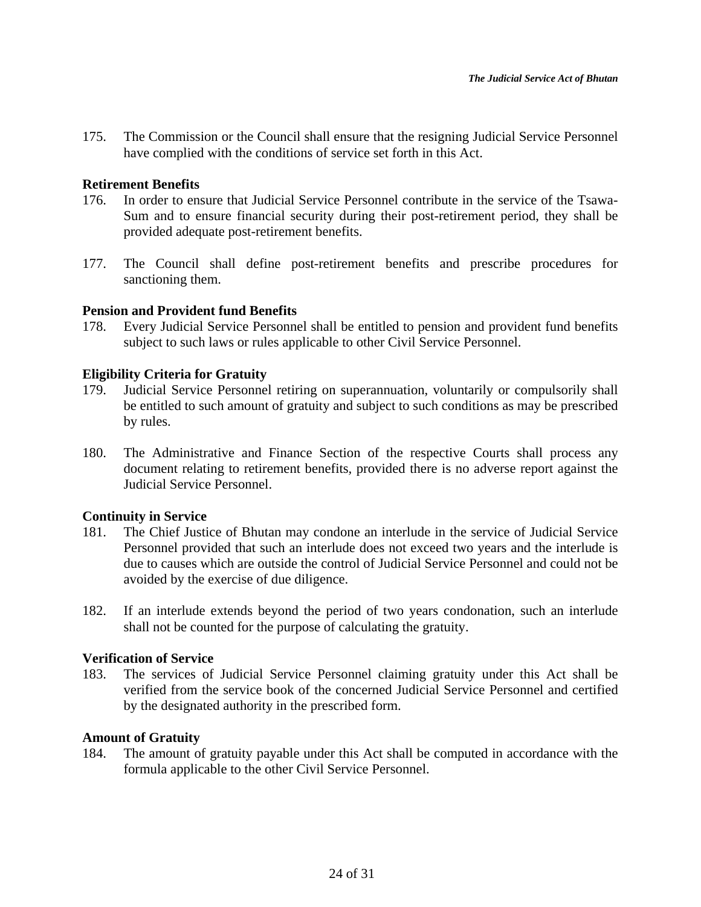175. The Commission or the Council shall ensure that the resigning Judicial Service Personnel have complied with the conditions of service set forth in this Act.

## **Retirement Benefits**

- 176. In order to ensure that Judicial Service Personnel contribute in the service of the Tsawa-Sum and to ensure financial security during their post-retirement period, they shall be provided adequate post-retirement benefits.
- 177. The Council shall define post-retirement benefits and prescribe procedures for sanctioning them.

## **Pension and Provident fund Benefits**

178. Every Judicial Service Personnel shall be entitled to pension and provident fund benefits subject to such laws or rules applicable to other Civil Service Personnel.

## **Eligibility Criteria for Gratuity**

- 179. Judicial Service Personnel retiring on superannuation, voluntarily or compulsorily shall be entitled to such amount of gratuity and subject to such conditions as may be prescribed by rules.
- 180. The Administrative and Finance Section of the respective Courts shall process any document relating to retirement benefits*,* provided there is no adverse report against the Judicial Service Personnel.

# **Continuity in Service**

- 181. The Chief Justice of Bhutan may condone an interlude in the service of Judicial Service Personnel provided that such an interlude does not exceed two years and the interlude is due to causes which are outside the control of Judicial Service Personnel and could not be avoided by the exercise of due diligence.
- 182. If an interlude extends beyond the period of two years condonation, such an interlude shall not be counted for the purpose of calculating the gratuity.

## **Verification of Service**

183. The services of Judicial Service Personnel claiming gratuity under this Act shall be verified from the service book of the concerned Judicial Service Personnel and certified by the designated authority in the prescribed form.

#### **Amount of Gratuity**

184. The amount of gratuity payable under this Act shall be computed in accordance with the formula applicable to the other Civil Service Personnel.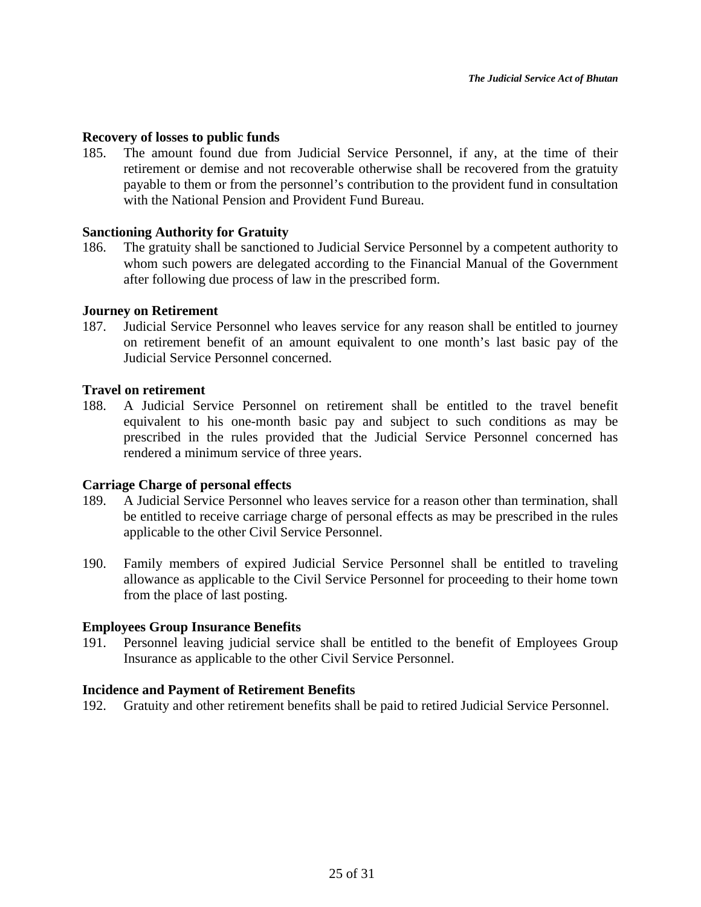### **Recovery of losses to public funds**

185. The amount found due from Judicial Service Personnel, if any, at the time of their retirement or demise and not recoverable otherwise shall be recovered from the gratuity payable to them or from the personnel's contribution to the provident fund in consultation with the National Pension and Provident Fund Bureau.

## **Sanctioning Authority for Gratuity**

186. The gratuity shall be sanctioned to Judicial Service Personnel by a competent authority to whom such powers are delegated according to the Financial Manual of the Government after following due process of law in the prescribed form.

## **Journey on Retirement**

187. Judicial Service Personnel who leaves service for any reason shall be entitled to journey on retirement benefit of an amount equivalent to one month's last basic pay of the Judicial Service Personnel concerned.

## **Travel on retirement**

188. A Judicial Service Personnel on retirement shall be entitled to the travel benefit equivalent to his one-month basic pay and subject to such conditions as may be prescribed in the rules provided that the Judicial Service Personnel concerned has rendered a minimum service of three years.

#### **Carriage Charge of personal effects**

- 189. A Judicial Service Personnel who leaves service for a reason other than termination, shall be entitled to receive carriage charge of personal effects as may be prescribed in the rules applicable to the other Civil Service Personnel.
- 190. Family members of expired Judicial Service Personnel shall be entitled to traveling allowance as applicable to the Civil Service Personnel for proceeding to their home town from the place of last posting.

#### **Employees Group Insurance Benefits**

191. Personnel leaving judicial service shall be entitled to the benefit of Employees Group Insurance as applicable to the other Civil Service Personnel.

#### **Incidence and Payment of Retirement Benefits**

192. Gratuity and other retirement benefits shall be paid to retired Judicial Service Personnel.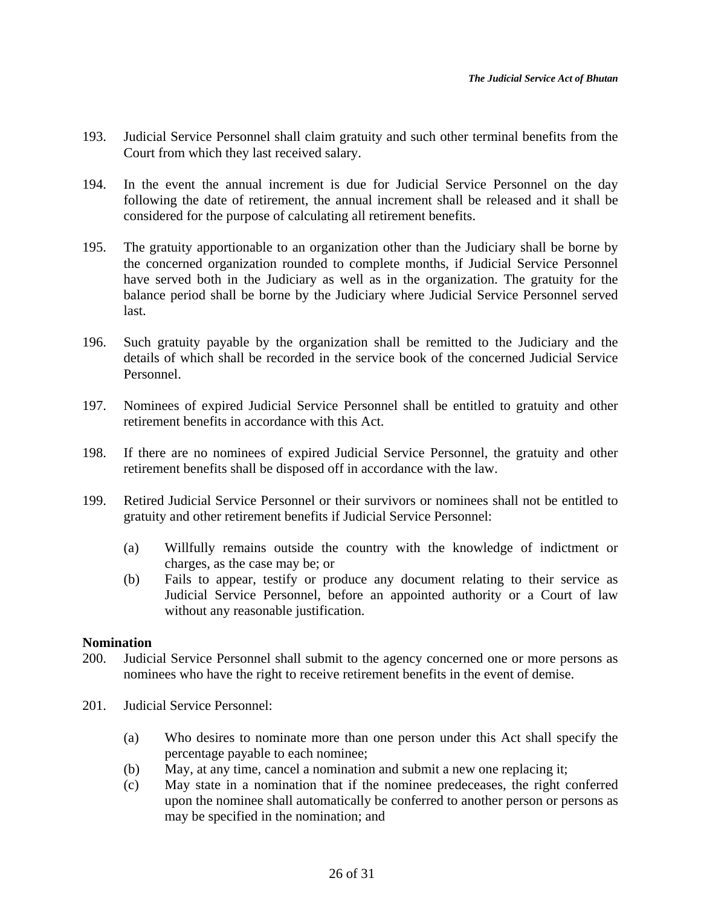- 193. Judicial Service Personnel shall claim gratuity and such other terminal benefits from the Court from which they last received salary.
- 194. In the event the annual increment is due for Judicial Service Personnel on the day following the date of retirement, the annual increment shall be released and it shall be considered for the purpose of calculating all retirement benefits.
- 195. The gratuity apportionable to an organization other than the Judiciary shall be borne by the concerned organization rounded to complete months, if Judicial Service Personnel have served both in the Judiciary as well as in the organization. The gratuity for the balance period shall be borne by the Judiciary where Judicial Service Personnel served last.
- 196. Such gratuity payable by the organization shall be remitted to the Judiciary and the details of which shall be recorded in the service book of the concerned Judicial Service Personnel.
- 197. Nominees of expired Judicial Service Personnel shall be entitled to gratuity and other retirement benefits in accordance with this Act.
- 198. If there are no nominees of expired Judicial Service Personnel, the gratuity and other retirement benefits shall be disposed off in accordance with the law.
- 199. Retired Judicial Service Personnel or their survivors or nominees shall not be entitled to gratuity and other retirement benefits if Judicial Service Personnel:
	- (a) Willfully remains outside the country with the knowledge of indictment or charges, as the case may be; or
	- (b) Fails to appear, testify or produce any document relating to their service as Judicial Service Personnel, before an appointed authority or a Court of law without any reasonable justification.

# **Nomination**

- 200. Judicial Service Personnel shall submit to the agency concerned one or more persons as nominees who have the right to receive retirement benefits in the event of demise.
- 201. Judicial Service Personnel:
	- (a) Who desires to nominate more than one person under this Act shall specify the percentage payable to each nominee;
	- (b) May, at any time, cancel a nomination and submit a new one replacing it;
	- (c) May state in a nomination that if the nominee predeceases, the right conferred upon the nominee shall automatically be conferred to another person or persons as may be specified in the nomination; and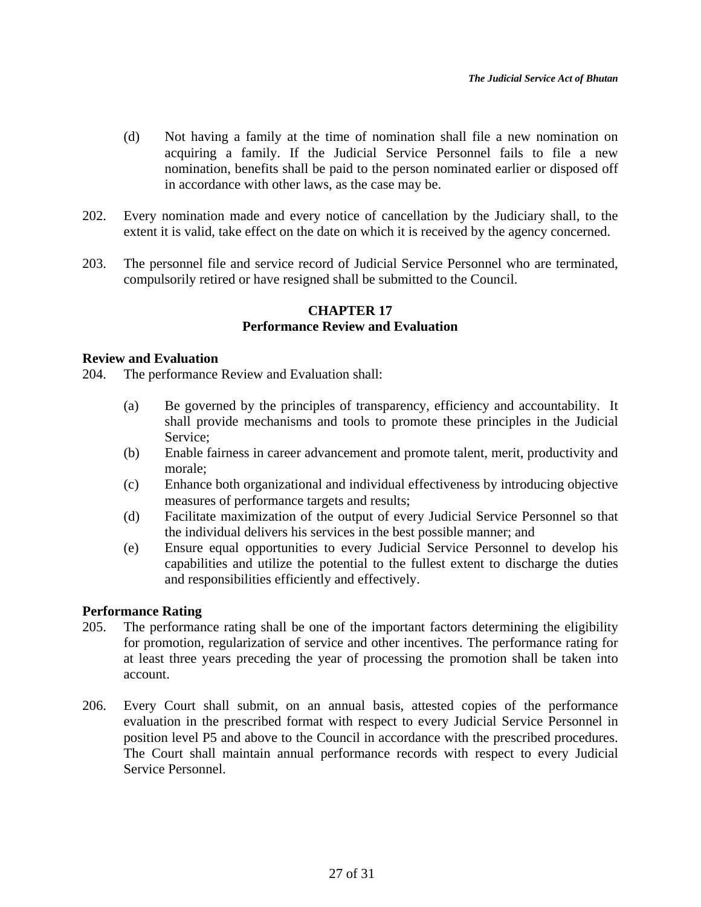- (d) Not having a family at the time of nomination shall file a new nomination on acquiring a family. If the Judicial Service Personnel fails to file a new nomination, benefits shall be paid to the person nominated earlier or disposed off in accordance with other laws, as the case may be.
- 202. Every nomination made and every notice of cancellation by the Judiciary shall, to the extent it is valid, take effect on the date on which it is received by the agency concerned.
- 203. The personnel file and service record of Judicial Service Personnel who are terminated, compulsorily retired or have resigned shall be submitted to the Council.

# **CHAPTER 17 Performance Review and Evaluation**

#### **Review and Evaluation**

204. The performance Review and Evaluation shall:

- (a) Be governed by the principles of transparency, efficiency and accountability. It shall provide mechanisms and tools to promote these principles in the Judicial Service;
- (b) Enable fairness in career advancement and promote talent, merit, productivity and morale;
- (c) Enhance both organizational and individual effectiveness by introducing objective measures of performance targets and results;
- (d) Facilitate maximization of the output of every Judicial Service Personnel so that the individual delivers his services in the best possible manner; and
- (e) Ensure equal opportunities to every Judicial Service Personnel to develop his capabilities and utilize the potential to the fullest extent to discharge the duties and responsibilities efficiently and effectively.

# **Performance Rating**

- 205. The performance rating shall be one of the important factors determining the eligibility for promotion, regularization of service and other incentives. The performance rating for at least three years preceding the year of processing the promotion shall be taken into account.
- 206. Every Court shall submit, on an annual basis, attested copies of the performance evaluation in the prescribed format with respect to every Judicial Service Personnel in position level P5 and above to the Council in accordance with the prescribed procedures. The Court shall maintain annual performance records with respect to every Judicial Service Personnel.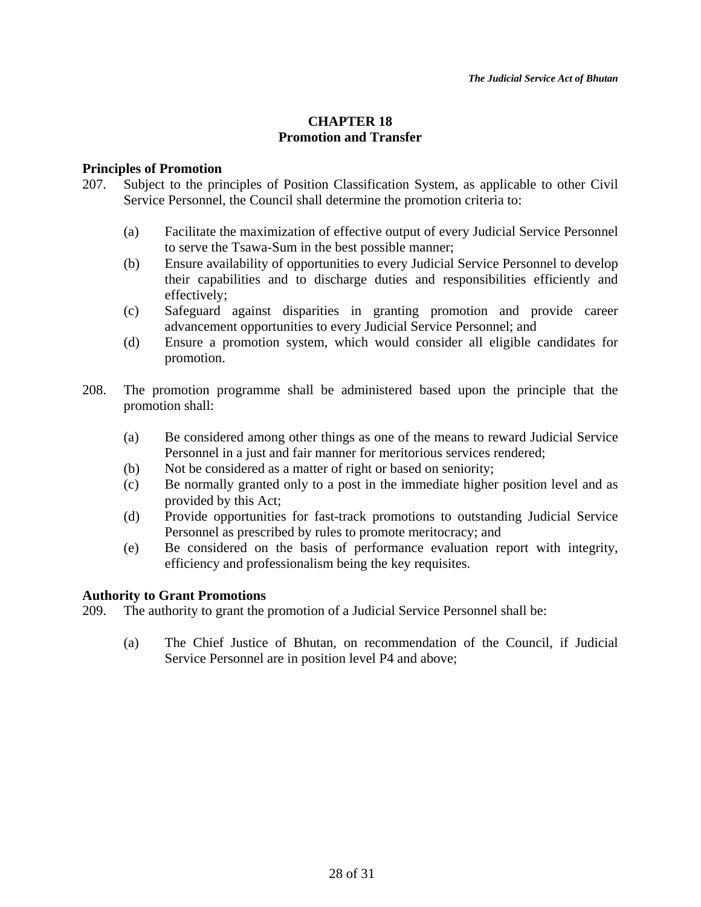# **CHAPTER 18 Promotion and Transfer**

## **Principles of Promotion**

- 207. Subject to the principles of Position Classification System, as applicable to other Civil Service Personnel, the Council shall determine the promotion criteria to:
	- (a) Facilitate the maximization of effective output of every Judicial Service Personnel to serve the Tsawa-Sum in the best possible manner;
	- (b) Ensure availability of opportunities to every Judicial Service Personnel to develop their capabilities and to discharge duties and responsibilities efficiently and effectively;
	- (c) Safeguard against disparities in granting promotion and provide career advancement opportunities to every Judicial Service Personnel; and
	- (d) Ensure a promotion system, which would consider all eligible candidates for promotion.
- 208. The promotion programme shall be administered based upon the principle that the promotion shall:
	- (a) Be considered among other things as one of the means to reward Judicial Service Personnel in a just and fair manner for meritorious services rendered;
	- (b) Not be considered as a matter of right or based on seniority;
	- (c) Be normally granted only to a post in the immediate higher position level and as provided by this Act;
	- (d) Provide opportunities for fast-track promotions to outstanding Judicial Service Personnel as prescribed by rules to promote meritocracy; and
	- (e) Be considered on the basis of performance evaluation report with integrity, efficiency and professionalism being the key requisites.

# **Authority to Grant Promotions**

- 209. The authority to grant the promotion of a Judicial Service Personnel shall be:
	- (a) The Chief Justice of Bhutan, on recommendation of the Council, if Judicial Service Personnel are in position level P4 and above;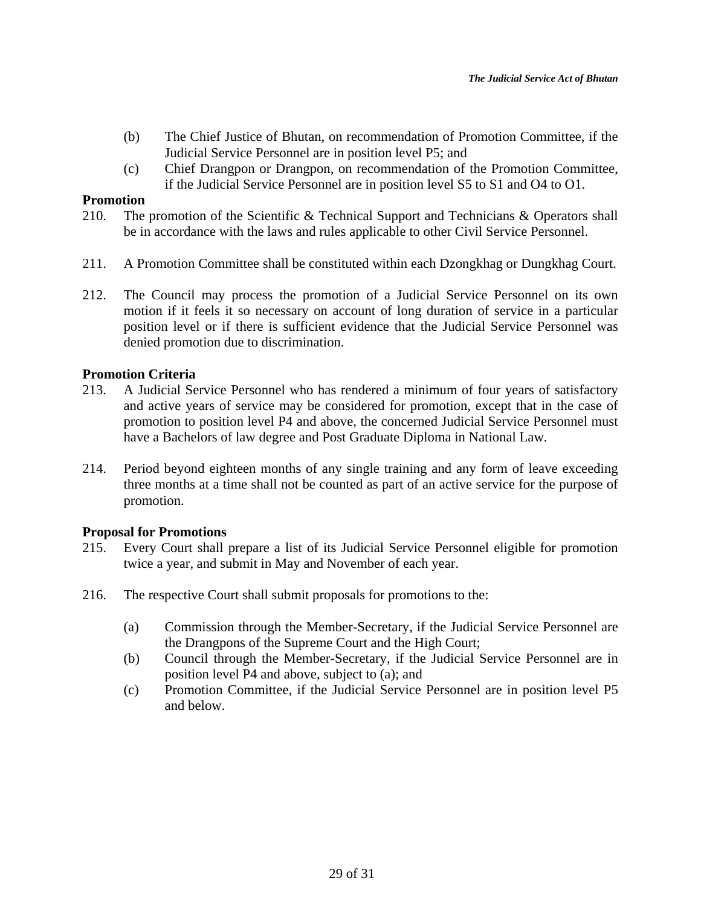- (b) The Chief Justice of Bhutan, on recommendation of Promotion Committee, if the Judicial Service Personnel are in position level P5; and
- (c) Chief Drangpon or Drangpon, on recommendation of the Promotion Committee, if the Judicial Service Personnel are in position level S5 to S1 and O4 to O1.

## **Promotion**

- 210. The promotion of the Scientific & Technical Support and Technicians & Operators shall be in accordance with the laws and rules applicable to other Civil Service Personnel.
- 211. A Promotion Committee shall be constituted within each Dzongkhag or Dungkhag Court.
- 212. The Council may process the promotion of a Judicial Service Personnel on its own motion if it feels it so necessary on account of long duration of service in a particular position level or if there is sufficient evidence that the Judicial Service Personnel was denied promotion due to discrimination.

## **Promotion Criteria**

- 213. A Judicial Service Personnel who has rendered a minimum of four years of satisfactory and active years of service may be considered for promotion, except that in the case of promotion to position level P4 and above, the concerned Judicial Service Personnel must have a Bachelors of law degree and Post Graduate Diploma in National Law.
- 214. Period beyond eighteen months of any single training and any form of leave exceeding three months at a time shall not be counted as part of an active service for the purpose of promotion.

# **Proposal for Promotions**

- 215. Every Court shall prepare a list of its Judicial Service Personnel eligible for promotion twice a year, and submit in May and November of each year.
- 216. The respective Court shall submit proposals for promotions to the:
	- (a) Commission through the Member-Secretary, if the Judicial Service Personnel are the Drangpons of the Supreme Court and the High Court;
	- (b) Council through the Member-Secretary, if the Judicial Service Personnel are in position level P4 and above, subject to (a); and
	- (c) Promotion Committee, if the Judicial Service Personnel are in position level P5 and below.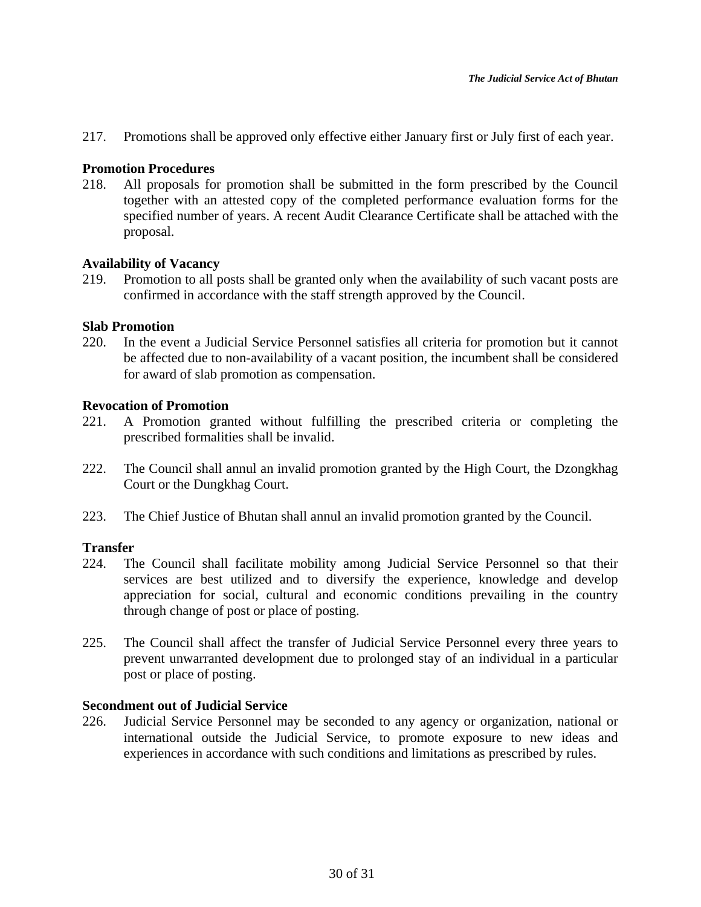217. Promotions shall be approved only effective either January first or July first of each year.

# **Promotion Procedures**

218. All proposals for promotion shall be submitted in the form prescribed by the Council together with an attested copy of the completed performance evaluation forms for the specified number of years. A recent Audit Clearance Certificate shall be attached with the proposal.

## **Availability of Vacancy**

219. Promotion to all posts shall be granted only when the availability of such vacant posts are confirmed in accordance with the staff strength approved by the Council.

## **Slab Promotion**

220. In the event a Judicial Service Personnel satisfies all criteria for promotion but it cannot be affected due to non-availability of a vacant position, the incumbent shall be considered for award of slab promotion as compensation.

## **Revocation of Promotion**

- 221. A Promotion granted without fulfilling the prescribed criteria or completing the prescribed formalities shall be invalid.
- 222. The Council shall annul an invalid promotion granted by the High Court, the Dzongkhag Court or the Dungkhag Court.
- 223. The Chief Justice of Bhutan shall annul an invalid promotion granted by the Council.

# **Transfer**

- 224. The Council shall facilitate mobility among Judicial Service Personnel so that their services are best utilized and to diversify the experience, knowledge and develop appreciation for social, cultural and economic conditions prevailing in the country through change of post or place of posting.
- 225. The Council shall affect the transfer of Judicial Service Personnel every three years to prevent unwarranted development due to prolonged stay of an individual in a particular post or place of posting.

# **Secondment out of Judicial Service**

226. Judicial Service Personnel may be seconded to any agency or organization, national or international outside the Judicial Service, to promote exposure to new ideas and experiences in accordance with such conditions and limitations as prescribed by rules.